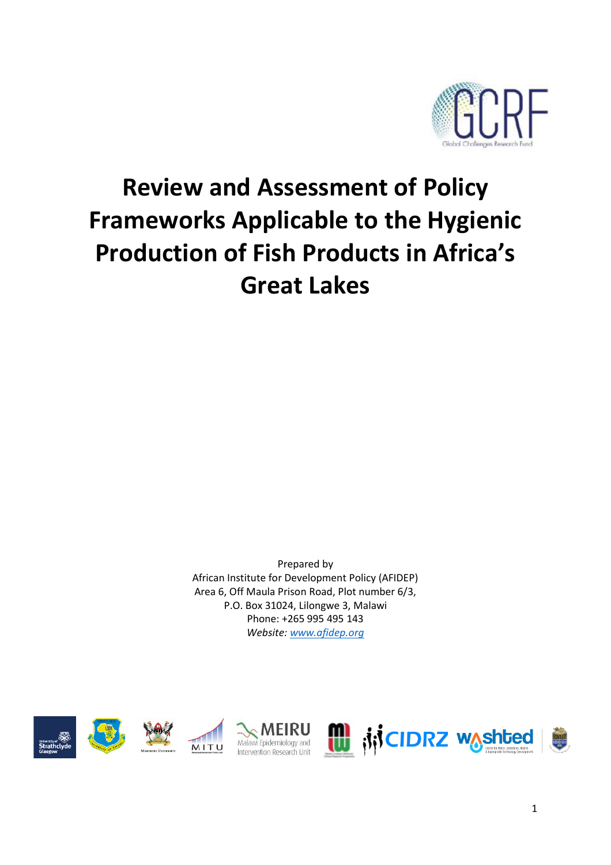

# **Review and Assessment of Policy Frameworks Applicable to the Hygienic Production of Fish Products in Africa's Great Lakes**

Prepared by African Institute for Development Policy (AFIDEP) Area 6, Off Maula Prison Road, Plot number 6/3, P.O. Box 31024, Lilongwe 3, Malawi Phone: +265 995 495 143 *Website: [www.afidep.org](http://www.afidep.org/)*









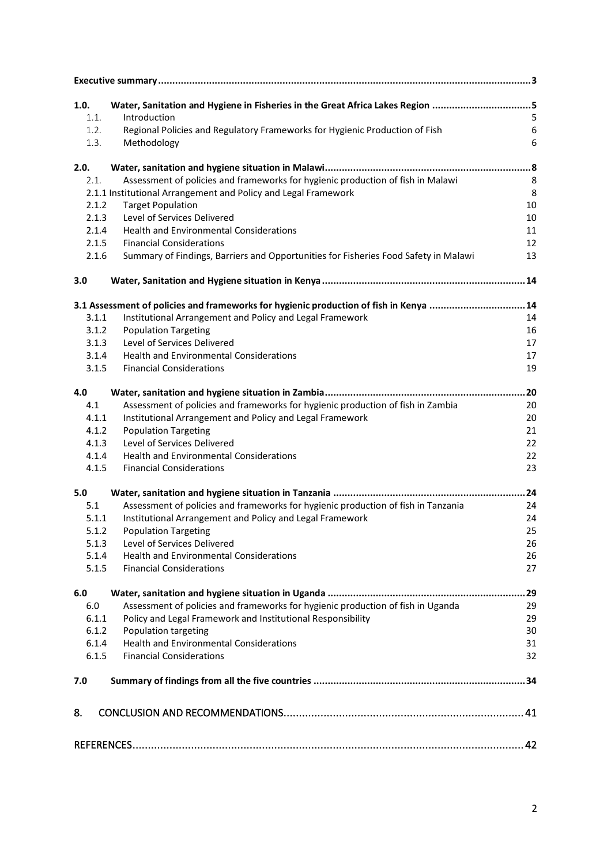| 1.0.  | Water, Sanitation and Hygiene in Fisheries in the Great Africa Lakes Region 5         |                  |
|-------|---------------------------------------------------------------------------------------|------------------|
| 1.1.  | Introduction                                                                          | 5                |
| 1.2.  | Regional Policies and Regulatory Frameworks for Hygienic Production of Fish           | $\boldsymbol{6}$ |
| 1.3.  | Methodology                                                                           | 6                |
| 2.0.  |                                                                                       |                  |
| 2.1.  | Assessment of policies and frameworks for hygienic production of fish in Malawi       | 8                |
|       | 2.1.1 Institutional Arrangement and Policy and Legal Framework                        | 8                |
| 2.1.2 | <b>Target Population</b>                                                              | 10               |
| 2.1.3 | Level of Services Delivered                                                           | 10               |
| 2.1.4 | <b>Health and Environmental Considerations</b>                                        | 11               |
| 2.1.5 | <b>Financial Considerations</b>                                                       | 12               |
| 2.1.6 | Summary of Findings, Barriers and Opportunities for Fisheries Food Safety in Malawi   | 13               |
| 3.0   |                                                                                       |                  |
|       | 3.1 Assessment of policies and frameworks for hygienic production of fish in Kenya 14 |                  |
| 3.1.1 | Institutional Arrangement and Policy and Legal Framework                              | 14               |
| 3.1.2 | <b>Population Targeting</b>                                                           | 16               |
| 3.1.3 | Level of Services Delivered                                                           | 17               |
| 3.1.4 | <b>Health and Environmental Considerations</b>                                        | 17               |
| 3.1.5 | <b>Financial Considerations</b>                                                       | 19               |
| 4.0   |                                                                                       | .20              |
| 4.1   | Assessment of policies and frameworks for hygienic production of fish in Zambia       | 20               |
| 4.1.1 | Institutional Arrangement and Policy and Legal Framework                              | 20               |
| 4.1.2 | <b>Population Targeting</b>                                                           | 21               |
| 4.1.3 | Level of Services Delivered                                                           | 22               |
| 4.1.4 | <b>Health and Environmental Considerations</b>                                        | 22               |
| 4.1.5 | <b>Financial Considerations</b>                                                       | 23               |
| 5.0   |                                                                                       | 24               |
| 5.1   | Assessment of policies and frameworks for hygienic production of fish in Tanzania     | 24               |
| 5.1.1 | Institutional Arrangement and Policy and Legal Framework                              | 24               |
| 5.1.2 | <b>Population Targeting</b>                                                           | 25               |
| 5.1.3 | Level of Services Delivered                                                           | 26               |
| 5.1.4 | <b>Health and Environmental Considerations</b>                                        | 26               |
| 5.1.5 | <b>Financial Considerations</b>                                                       | 27               |
| 6.0   |                                                                                       | .29              |
| 6.0   | Assessment of policies and frameworks for hygienic production of fish in Uganda       | 29               |
| 6.1.1 | Policy and Legal Framework and Institutional Responsibility                           | 29               |
| 6.1.2 | Population targeting                                                                  | 30               |
| 6.1.4 | <b>Health and Environmental Considerations</b>                                        | 31               |
| 6.1.5 | <b>Financial Considerations</b>                                                       | 32               |
| 7.0   |                                                                                       |                  |
| 8.    |                                                                                       |                  |
|       |                                                                                       |                  |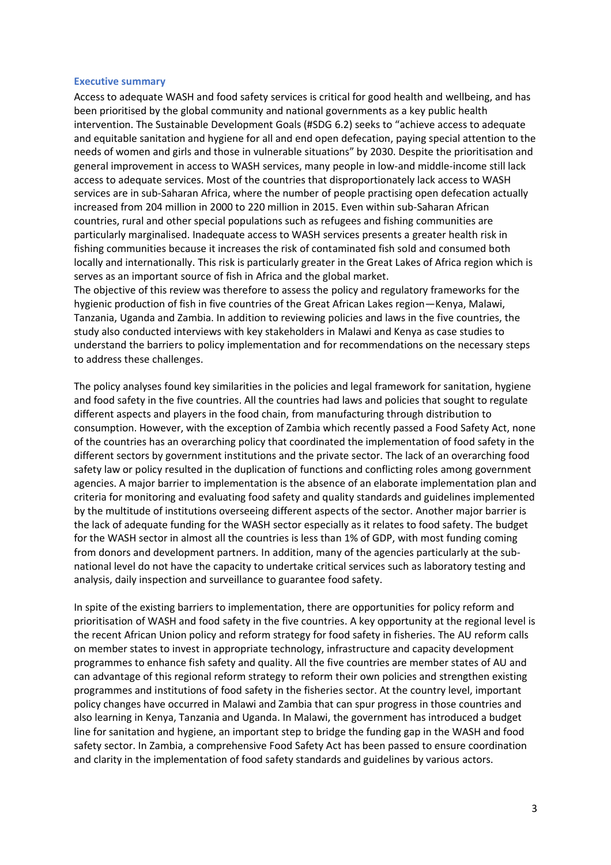#### <span id="page-2-0"></span>**Executive summary**

Access to adequate WASH and food safety services is critical for good health and wellbeing, and has been prioritised by the global community and national governments as a key public health intervention. The Sustainable Development Goals (#SDG 6.2) seeks to "achieve access to adequate and equitable sanitation and hygiene for all and end open defecation, paying special attention to the needs of women and girls and those in vulnerable situations" by 2030. Despite the prioritisation and general improvement in access to WASH services, many people in low-and middle-income still lack access to adequate services. Most of the countries that disproportionately lack access to WASH services are in sub-Saharan Africa, where the number of people practising open defecation actually increased from 204 million in 2000 to 220 million in 2015. Even within sub-Saharan African countries, rural and other special populations such as refugees and fishing communities are particularly marginalised. Inadequate access to WASH services presents a greater health risk in fishing communities because it increases the risk of contaminated fish sold and consumed both locally and internationally. This risk is particularly greater in the Great Lakes of Africa region which is serves as an important source of fish in Africa and the global market.

The objective of this review was therefore to assess the policy and regulatory frameworks for the hygienic production of fish in five countries of the Great African Lakes region—Kenya, Malawi, Tanzania, Uganda and Zambia. In addition to reviewing policies and laws in the five countries, the study also conducted interviews with key stakeholders in Malawi and Kenya as case studies to understand the barriers to policy implementation and for recommendations on the necessary steps to address these challenges.

The policy analyses found key similarities in the policies and legal framework for sanitation, hygiene and food safety in the five countries. All the countries had laws and policies that sought to regulate different aspects and players in the food chain, from manufacturing through distribution to consumption. However, with the exception of Zambia which recently passed a Food Safety Act, none of the countries has an overarching policy that coordinated the implementation of food safety in the different sectors by government institutions and the private sector. The lack of an overarching food safety law or policy resulted in the duplication of functions and conflicting roles among government agencies. A major barrier to implementation is the absence of an elaborate implementation plan and criteria for monitoring and evaluating food safety and quality standards and guidelines implemented by the multitude of institutions overseeing different aspects of the sector. Another major barrier is the lack of adequate funding for the WASH sector especially as it relates to food safety. The budget for the WASH sector in almost all the countries is less than 1% of GDP, with most funding coming from donors and development partners. In addition, many of the agencies particularly at the subnational level do not have the capacity to undertake critical services such as laboratory testing and analysis, daily inspection and surveillance to guarantee food safety.

In spite of the existing barriers to implementation, there are opportunities for policy reform and prioritisation of WASH and food safety in the five countries. A key opportunity at the regional level is the recent African Union policy and reform strategy for food safety in fisheries. The AU reform calls on member states to invest in appropriate technology, infrastructure and capacity development programmes to enhance fish safety and quality. All the five countries are member states of AU and can advantage of this regional reform strategy to reform their own policies and strengthen existing programmes and institutions of food safety in the fisheries sector. At the country level, important policy changes have occurred in Malawi and Zambia that can spur progress in those countries and also learning in Kenya, Tanzania and Uganda. In Malawi, the government has introduced a budget line for sanitation and hygiene, an important step to bridge the funding gap in the WASH and food safety sector. In Zambia, a comprehensive Food Safety Act has been passed to ensure coordination and clarity in the implementation of food safety standards and guidelines by various actors.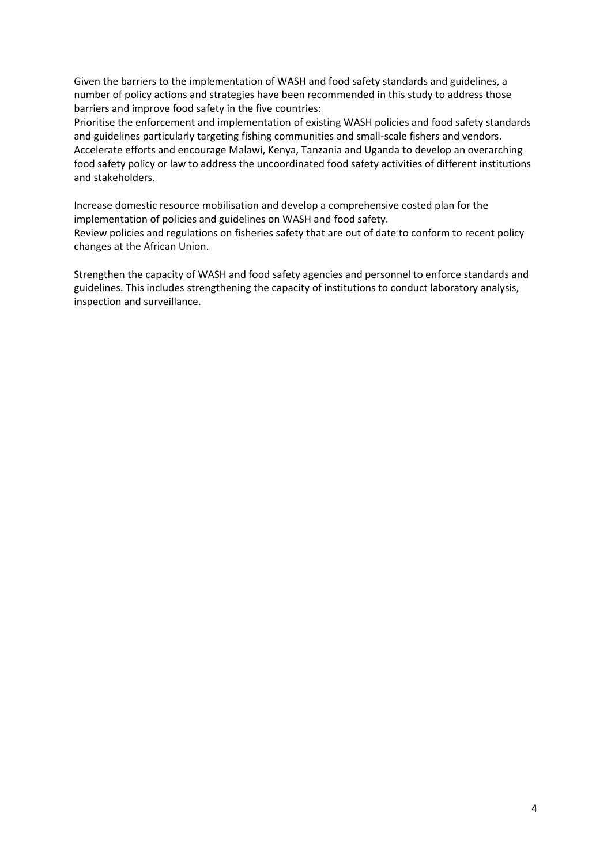Given the barriers to the implementation of WASH and food safety standards and guidelines, a number of policy actions and strategies have been recommended in this study to address those barriers and improve food safety in the five countries:

Prioritise the enforcement and implementation of existing WASH policies and food safety standards and guidelines particularly targeting fishing communities and small-scale fishers and vendors. Accelerate efforts and encourage Malawi, Kenya, Tanzania and Uganda to develop an overarching food safety policy or law to address the uncoordinated food safety activities of different institutions and stakeholders.

Increase domestic resource mobilisation and develop a comprehensive costed plan for the implementation of policies and guidelines on WASH and food safety. Review policies and regulations on fisheries safety that are out of date to conform to recent policy changes at the African Union.

Strengthen the capacity of WASH and food safety agencies and personnel to enforce standards and guidelines. This includes strengthening the capacity of institutions to conduct laboratory analysis, inspection and surveillance.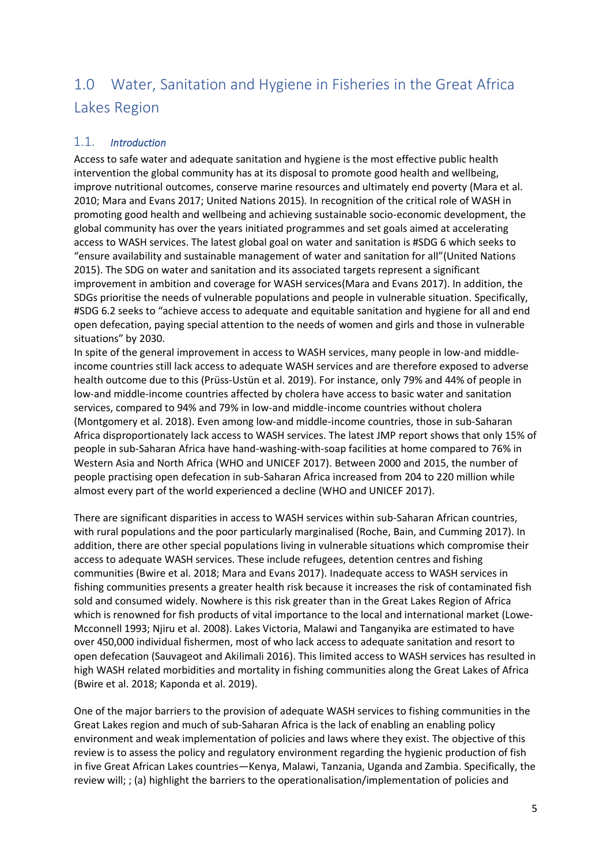# <span id="page-4-0"></span>1.0 Water, Sanitation and Hygiene in Fisheries in the Great Africa Lakes Region

#### <span id="page-4-1"></span>1.1. *Introduction*

Access to safe water and adequate sanitation and hygiene is the most effective public health intervention the global community has at its disposal to promote good health and wellbeing, improve nutritional outcomes, conserve marine resources and ultimately end poverty (Mara et al. 2010; Mara and Evans 2017; United Nations 2015). In recognition of the critical role of WASH in promoting good health and wellbeing and achieving sustainable socio-economic development, the global community has over the years initiated programmes and set goals aimed at accelerating access to WASH services. The latest global goal on water and sanitation is #SDG 6 which seeks to "ensure availability and sustainable management of water and sanitation for all"(United Nations 2015). The SDG on water and sanitation and its associated targets represent a significant improvement in ambition and coverage for WASH services(Mara and Evans 2017). In addition, the SDGs prioritise the needs of vulnerable populations and people in vulnerable situation. Specifically, #SDG 6.2 seeks to "achieve access to adequate and equitable sanitation and hygiene for all and end open defecation, paying special attention to the needs of women and girls and those in vulnerable situations" by 2030.

In spite of the general improvement in access to WASH services, many people in low-and middleincome countries still lack access to adequate WASH services and are therefore exposed to adverse health outcome due to this (Prüss-Ustün et al. 2019). For instance, only 79% and 44% of people in low-and middle-income countries affected by cholera have access to basic water and sanitation services, compared to 94% and 79% in low-and middle-income countries without cholera (Montgomery et al. 2018). Even among low-and middle-income countries, those in sub-Saharan Africa disproportionately lack access to WASH services. The latest JMP report shows that only 15% of people in sub-Saharan Africa have hand-washing-with-soap facilities at home compared to 76% in Western Asia and North Africa (WHO and UNICEF 2017). Between 2000 and 2015, the number of people practising open defecation in sub-Saharan Africa increased from 204 to 220 million while almost every part of the world experienced a decline (WHO and UNICEF 2017).

There are significant disparities in access to WASH services within sub-Saharan African countries, with rural populations and the poor particularly marginalised (Roche, Bain, and Cumming 2017). In addition, there are other special populations living in vulnerable situations which compromise their access to adequate WASH services. These include refugees, detention centres and fishing communities (Bwire et al. 2018; Mara and Evans 2017). Inadequate access to WASH services in fishing communities presents a greater health risk because it increases the risk of contaminated fish sold and consumed widely. Nowhere is this risk greater than in the Great Lakes Region of Africa which is renowned for fish products of vital importance to the local and international market (Lowe-Mcconnell 1993; Njiru et al. 2008). Lakes Victoria, Malawi and Tanganyika are estimated to have over 450,000 individual fishermen, most of who lack access to adequate sanitation and resort to open defecation (Sauvageot and Akilimali 2016). This limited access to WASH services has resulted in high WASH related morbidities and mortality in fishing communities along the Great Lakes of Africa (Bwire et al. 2018; Kaponda et al. 2019).

One of the major barriers to the provision of adequate WASH services to fishing communities in the Great Lakes region and much of sub-Saharan Africa is the lack of enabling an enabling policy environment and weak implementation of policies and laws where they exist. The objective of this review is to assess the policy and regulatory environment regarding the hygienic production of fish in five Great African Lakes countries—Kenya, Malawi, Tanzania, Uganda and Zambia. Specifically, the review will; ; (a) highlight the barriers to the operationalisation/implementation of policies and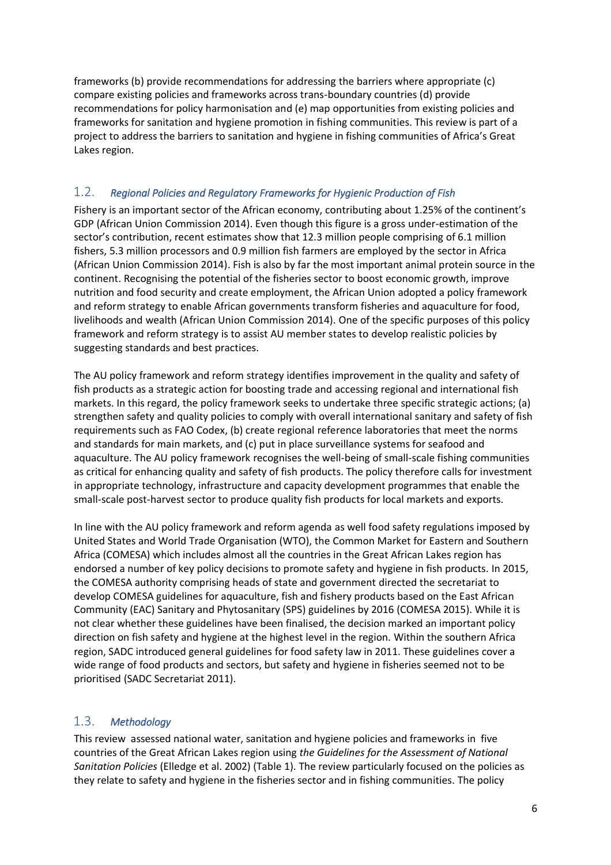frameworks (b) provide recommendations for addressing the barriers where appropriate (c) compare existing policies and frameworks across trans-boundary countries (d) provide recommendations for policy harmonisation and (e) map opportunities from existing policies and frameworks for sanitation and hygiene promotion in fishing communities. This review is part of a project to address the barriers to sanitation and hygiene in fishing communities of Africa's Great Lakes region.

#### <span id="page-5-0"></span>1.2. *Regional Policies and Regulatory Frameworks for Hygienic Production of Fish*

Fishery is an important sector of the African economy, contributing about 1.25% of the continent's GDP (African Union Commission 2014). Even though this figure is a gross under-estimation of the sector's contribution, recent estimates show that 12.3 million people comprising of 6.1 million fishers, 5.3 million processors and 0.9 million fish farmers are employed by the sector in Africa (African Union Commission 2014). Fish is also by far the most important animal protein source in the continent. Recognising the potential of the fisheries sector to boost economic growth, improve nutrition and food security and create employment, the African Union adopted a policy framework and reform strategy to enable African governments transform fisheries and aquaculture for food, livelihoods and wealth (African Union Commission 2014). One of the specific purposes of this policy framework and reform strategy is to assist AU member states to develop realistic policies by suggesting standards and best practices.

The AU policy framework and reform strategy identifies improvement in the quality and safety of fish products as a strategic action for boosting trade and accessing regional and international fish markets. In this regard, the policy framework seeks to undertake three specific strategic actions; (a) strengthen safety and quality policies to comply with overall international sanitary and safety of fish requirements such as FAO Codex, (b) create regional reference laboratories that meet the norms and standards for main markets, and (c) put in place surveillance systems for seafood and aquaculture. The AU policy framework recognises the well-being of small-scale fishing communities as critical for enhancing quality and safety of fish products. The policy therefore calls for investment in appropriate technology, infrastructure and capacity development programmes that enable the small-scale post-harvest sector to produce quality fish products for local markets and exports.

In line with the AU policy framework and reform agenda as well food safety regulations imposed by United States and World Trade Organisation (WTO), the Common Market for Eastern and Southern Africa (COMESA) which includes almost all the countries in the Great African Lakes region has endorsed a number of key policy decisions to promote safety and hygiene in fish products. In 2015, the COMESA authority comprising heads of state and government directed the secretariat to develop COMESA guidelines for aquaculture, fish and fishery products based on the East African Community (EAC) Sanitary and Phytosanitary (SPS) guidelines by 2016 (COMESA 2015). While it is not clear whether these guidelines have been finalised, the decision marked an important policy direction on fish safety and hygiene at the highest level in the region. Within the southern Africa region, SADC introduced general guidelines for food safety law in 2011. These guidelines cover a wide range of food products and sectors, but safety and hygiene in fisheries seemed not to be prioritised (SADC Secretariat 2011).

#### <span id="page-5-1"></span>1.3. *Methodology*

This review assessed national water, sanitation and hygiene policies and frameworks in five countries of the Great African Lakes region using *the Guidelines for the Assessment of National Sanitation Policies* (Elledge et al. 2002) (Table 1). The review particularly focused on the policies as they relate to safety and hygiene in the fisheries sector and in fishing communities. The policy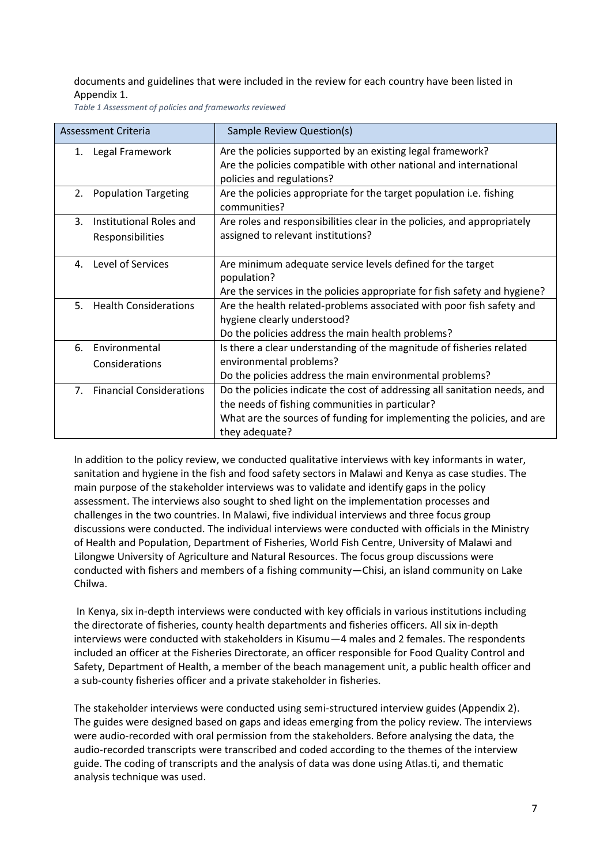documents and guidelines that were included in the review for each country have been listed in Appendix 1.

*Table 1 Assessment of policies and frameworks reviewed*

| Assessment Criteria            |                                             | Sample Review Question(s)                                                                                                                                                                                                |
|--------------------------------|---------------------------------------------|--------------------------------------------------------------------------------------------------------------------------------------------------------------------------------------------------------------------------|
| 1.                             | Legal Framework                             | Are the policies supported by an existing legal framework?<br>Are the policies compatible with other national and international<br>policies and regulations?                                                             |
| 2.                             | <b>Population Targeting</b>                 | Are the policies appropriate for the target population <i>i.e.</i> fishing<br>communities?                                                                                                                               |
| 3.                             | Institutional Roles and<br>Responsibilities | Are roles and responsibilities clear in the policies, and appropriately<br>assigned to relevant institutions?                                                                                                            |
| 4.                             | Level of Services                           | Are minimum adequate service levels defined for the target<br>population?<br>Are the services in the policies appropriate for fish safety and hygiene?                                                                   |
| 5.                             | <b>Health Considerations</b>                | Are the health related-problems associated with poor fish safety and<br>hygiene clearly understood?<br>Do the policies address the main health problems?                                                                 |
| 6.                             | Environmental<br>Considerations             | Is there a clear understanding of the magnitude of fisheries related<br>environmental problems?<br>Do the policies address the main environmental problems?                                                              |
| $7_{\scriptscriptstyle{\sim}}$ | <b>Financial Considerations</b>             | Do the policies indicate the cost of addressing all sanitation needs, and<br>the needs of fishing communities in particular?<br>What are the sources of funding for implementing the policies, and are<br>they adequate? |

In addition to the policy review, we conducted qualitative interviews with key informants in water, sanitation and hygiene in the fish and food safety sectors in Malawi and Kenya as case studies. The main purpose of the stakeholder interviews was to validate and identify gaps in the policy assessment. The interviews also sought to shed light on the implementation processes and challenges in the two countries. In Malawi, five individual interviews and three focus group discussions were conducted. The individual interviews were conducted with officials in the Ministry of Health and Population, Department of Fisheries, World Fish Centre, University of Malawi and Lilongwe University of Agriculture and Natural Resources. The focus group discussions were conducted with fishers and members of a fishing community—Chisi, an island community on Lake Chilwa.

In Kenya, six in-depth interviews were conducted with key officials in various institutions including the directorate of fisheries, county health departments and fisheries officers. All six in-depth interviews were conducted with stakeholders in Kisumu—4 males and 2 females. The respondents included an officer at the Fisheries Directorate, an officer responsible for Food Quality Control and Safety, Department of Health, a member of the beach management unit, a public health officer and a sub-county fisheries officer and a private stakeholder in fisheries.

The stakeholder interviews were conducted using semi-structured interview guides (Appendix 2). The guides were designed based on gaps and ideas emerging from the policy review. The interviews were audio-recorded with oral permission from the stakeholders. Before analysing the data, the audio-recorded transcripts were transcribed and coded according to the themes of the interview guide. The coding of transcripts and the analysis of data was done using Atlas.ti, and thematic analysis technique was used.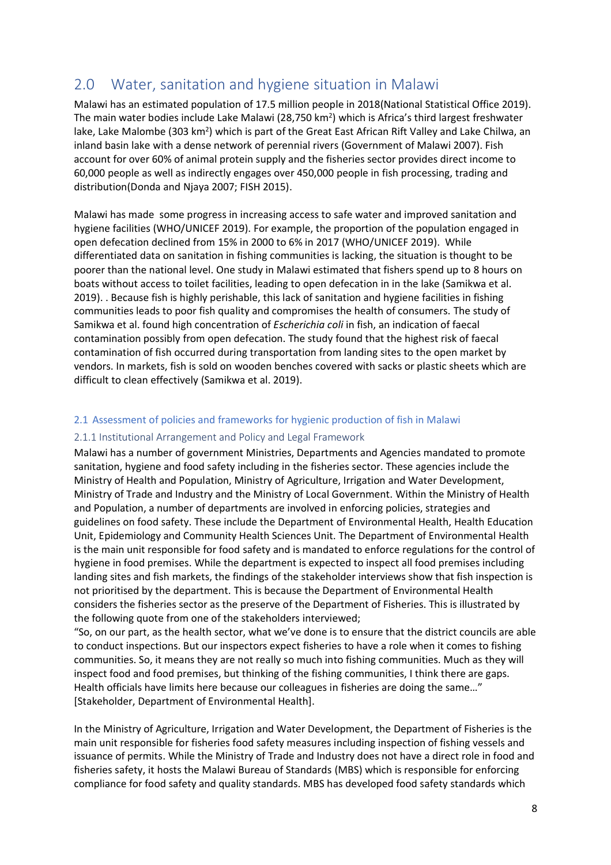# <span id="page-7-0"></span>2.0 Water, sanitation and hygiene situation in Malawi

Malawi has an estimated population of 17.5 million people in 2018(National Statistical Office 2019). The main water bodies include Lake Malawi (28,750 km<sup>2</sup>) which is Africa's third largest freshwater lake, Lake Malombe (303 km<sup>2</sup>) which is part of the Great East African Rift Valley and Lake Chilwa, an inland basin lake with a dense network of perennial rivers (Government of Malawi 2007). Fish account for over 60% of animal protein supply and the fisheries sector provides direct income to 60,000 people as well as indirectly engages over 450,000 people in fish processing, trading and distribution(Donda and Njaya 2007; FISH 2015).

Malawi has made some progress in increasing access to safe water and improved sanitation and hygiene facilities (WHO/UNICEF 2019). For example, the proportion of the population engaged in open defecation declined from 15% in 2000 to 6% in 2017 (WHO/UNICEF 2019). While differentiated data on sanitation in fishing communities is lacking, the situation is thought to be poorer than the national level. One study in Malawi estimated that fishers spend up to 8 hours on boats without access to toilet facilities, leading to open defecation in in the lake (Samikwa et al. 2019). . Because fish is highly perishable, this lack of sanitation and hygiene facilities in fishing communities leads to poor fish quality and compromises the health of consumers. The study of Samikwa et al. found high concentration of *Escherichia coli* in fish, an indication of faecal contamination possibly from open defecation. The study found that the highest risk of faecal contamination of fish occurred during transportation from landing sites to the open market by vendors. In markets, fish is sold on wooden benches covered with sacks or plastic sheets which are difficult to clean effectively (Samikwa et al. 2019).

#### <span id="page-7-1"></span>2.1 Assessment of policies and frameworks for hygienic production of fish in Malawi

#### <span id="page-7-2"></span>2.1.1 Institutional Arrangement and Policy and Legal Framework

Malawi has a number of government Ministries, Departments and Agencies mandated to promote sanitation, hygiene and food safety including in the fisheries sector. These agencies include the Ministry of Health and Population, Ministry of Agriculture, Irrigation and Water Development, Ministry of Trade and Industry and the Ministry of Local Government. Within the Ministry of Health and Population, a number of departments are involved in enforcing policies, strategies and guidelines on food safety. These include the Department of Environmental Health, Health Education Unit, Epidemiology and Community Health Sciences Unit. The Department of Environmental Health is the main unit responsible for food safety and is mandated to enforce regulations for the control of hygiene in food premises. While the department is expected to inspect all food premises including landing sites and fish markets, the findings of the stakeholder interviews show that fish inspection is not prioritised by the department. This is because the Department of Environmental Health considers the fisheries sector as the preserve of the Department of Fisheries. This is illustrated by the following quote from one of the stakeholders interviewed;

"So, on our part, as the health sector, what we've done is to ensure that the district councils are able to conduct inspections. But our inspectors expect fisheries to have a role when it comes to fishing communities. So, it means they are not really so much into fishing communities. Much as they will inspect food and food premises, but thinking of the fishing communities, I think there are gaps. Health officials have limits here because our colleagues in fisheries are doing the same…" [Stakeholder, Department of Environmental Health].

In the Ministry of Agriculture, Irrigation and Water Development, the Department of Fisheries is the main unit responsible for fisheries food safety measures including inspection of fishing vessels and issuance of permits. While the Ministry of Trade and Industry does not have a direct role in food and fisheries safety, it hosts the Malawi Bureau of Standards (MBS) which is responsible for enforcing compliance for food safety and quality standards. MBS has developed food safety standards which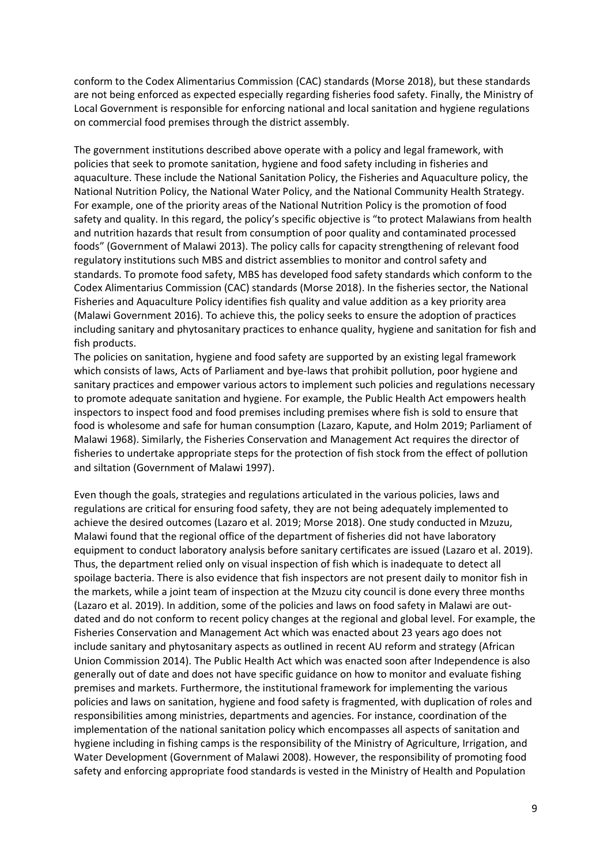conform to the Codex Alimentarius Commission (CAC) standards (Morse 2018), but these standards are not being enforced as expected especially regarding fisheries food safety. Finally, the Ministry of Local Government is responsible for enforcing national and local sanitation and hygiene regulations on commercial food premises through the district assembly.

The government institutions described above operate with a policy and legal framework, with policies that seek to promote sanitation, hygiene and food safety including in fisheries and aquaculture. These include the National Sanitation Policy, the Fisheries and Aquaculture policy, the National Nutrition Policy, the National Water Policy, and the National Community Health Strategy. For example, one of the priority areas of the National Nutrition Policy is the promotion of food safety and quality. In this regard, the policy's specific objective is "to protect Malawians from health and nutrition hazards that result from consumption of poor quality and contaminated processed foods" (Government of Malawi 2013). The policy calls for capacity strengthening of relevant food regulatory institutions such MBS and district assemblies to monitor and control safety and standards. To promote food safety, MBS has developed food safety standards which conform to the Codex Alimentarius Commission (CAC) standards (Morse 2018). In the fisheries sector, the National Fisheries and Aquaculture Policy identifies fish quality and value addition as a key priority area (Malawi Government 2016). To achieve this, the policy seeks to ensure the adoption of practices including sanitary and phytosanitary practices to enhance quality, hygiene and sanitation for fish and fish products.

The policies on sanitation, hygiene and food safety are supported by an existing legal framework which consists of laws, Acts of Parliament and bye-laws that prohibit pollution, poor hygiene and sanitary practices and empower various actors to implement such policies and regulations necessary to promote adequate sanitation and hygiene. For example, the Public Health Act empowers health inspectors to inspect food and food premises including premises where fish is sold to ensure that food is wholesome and safe for human consumption (Lazaro, Kapute, and Holm 2019; Parliament of Malawi 1968). Similarly, the Fisheries Conservation and Management Act requires the director of fisheries to undertake appropriate steps for the protection of fish stock from the effect of pollution and siltation (Government of Malawi 1997).

Even though the goals, strategies and regulations articulated in the various policies, laws and regulations are critical for ensuring food safety, they are not being adequately implemented to achieve the desired outcomes (Lazaro et al. 2019; Morse 2018). One study conducted in Mzuzu, Malawi found that the regional office of the department of fisheries did not have laboratory equipment to conduct laboratory analysis before sanitary certificates are issued (Lazaro et al. 2019). Thus, the department relied only on visual inspection of fish which is inadequate to detect all spoilage bacteria. There is also evidence that fish inspectors are not present daily to monitor fish in the markets, while a joint team of inspection at the Mzuzu city council is done every three months (Lazaro et al. 2019). In addition, some of the policies and laws on food safety in Malawi are outdated and do not conform to recent policy changes at the regional and global level. For example, the Fisheries Conservation and Management Act which was enacted about 23 years ago does not include sanitary and phytosanitary aspects as outlined in recent AU reform and strategy (African Union Commission 2014). The Public Health Act which was enacted soon after Independence is also generally out of date and does not have specific guidance on how to monitor and evaluate fishing premises and markets. Furthermore, the institutional framework for implementing the various policies and laws on sanitation, hygiene and food safety is fragmented, with duplication of roles and responsibilities among ministries, departments and agencies. For instance, coordination of the implementation of the national sanitation policy which encompasses all aspects of sanitation and hygiene including in fishing camps is the responsibility of the Ministry of Agriculture, Irrigation, and Water Development (Government of Malawi 2008). However, the responsibility of promoting food safety and enforcing appropriate food standards is vested in the Ministry of Health and Population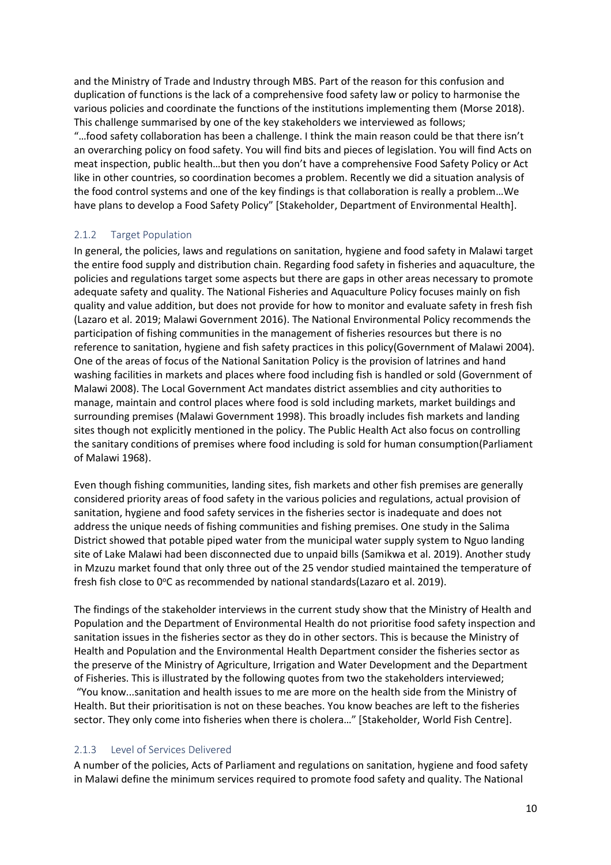and the Ministry of Trade and Industry through MBS. Part of the reason for this confusion and duplication of functions is the lack of a comprehensive food safety law or policy to harmonise the various policies and coordinate the functions of the institutions implementing them (Morse 2018). This challenge summarised by one of the key stakeholders we interviewed as follows; "…food safety collaboration has been a challenge. I think the main reason could be that there isn't an overarching policy on food safety. You will find bits and pieces of legislation. You will find Acts on meat inspection, public health…but then you don't have a comprehensive Food Safety Policy or Act like in other countries, so coordination becomes a problem. Recently we did a situation analysis of the food control systems and one of the key findings is that collaboration is really a problem…We have plans to develop a Food Safety Policy" [Stakeholder, Department of Environmental Health].

#### <span id="page-9-0"></span>2.1.2 Target Population

In general, the policies, laws and regulations on sanitation, hygiene and food safety in Malawi target the entire food supply and distribution chain. Regarding food safety in fisheries and aquaculture, the policies and regulations target some aspects but there are gaps in other areas necessary to promote adequate safety and quality. The National Fisheries and Aquaculture Policy focuses mainly on fish quality and value addition, but does not provide for how to monitor and evaluate safety in fresh fish (Lazaro et al. 2019; Malawi Government 2016). The National Environmental Policy recommends the participation of fishing communities in the management of fisheries resources but there is no reference to sanitation, hygiene and fish safety practices in this policy(Government of Malawi 2004). One of the areas of focus of the National Sanitation Policy is the provision of latrines and hand washing facilities in markets and places where food including fish is handled or sold (Government of Malawi 2008). The Local Government Act mandates district assemblies and city authorities to manage, maintain and control places where food is sold including markets, market buildings and surrounding premises (Malawi Government 1998). This broadly includes fish markets and landing sites though not explicitly mentioned in the policy. The Public Health Act also focus on controlling the sanitary conditions of premises where food including is sold for human consumption(Parliament of Malawi 1968).

Even though fishing communities, landing sites, fish markets and other fish premises are generally considered priority areas of food safety in the various policies and regulations, actual provision of sanitation, hygiene and food safety services in the fisheries sector is inadequate and does not address the unique needs of fishing communities and fishing premises. One study in the Salima District showed that potable piped water from the municipal water supply system to Nguo landing site of Lake Malawi had been disconnected due to unpaid bills (Samikwa et al. 2019). Another study in Mzuzu market found that only three out of the 25 vendor studied maintained the temperature of fresh fish close to 0°C as recommended by national standards(Lazaro et al. 2019).

The findings of the stakeholder interviews in the current study show that the Ministry of Health and Population and the Department of Environmental Health do not prioritise food safety inspection and sanitation issues in the fisheries sector as they do in other sectors. This is because the Ministry of Health and Population and the Environmental Health Department consider the fisheries sector as the preserve of the Ministry of Agriculture, Irrigation and Water Development and the Department of Fisheries. This is illustrated by the following quotes from two the stakeholders interviewed; "You know...sanitation and health issues to me are more on the health side from the Ministry of Health. But their prioritisation is not on these beaches. You know beaches are left to the fisheries sector. They only come into fisheries when there is cholera…" [Stakeholder, World Fish Centre].

#### <span id="page-9-1"></span>2.1.3 Level of Services Delivered

A number of the policies, Acts of Parliament and regulations on sanitation, hygiene and food safety in Malawi define the minimum services required to promote food safety and quality. The National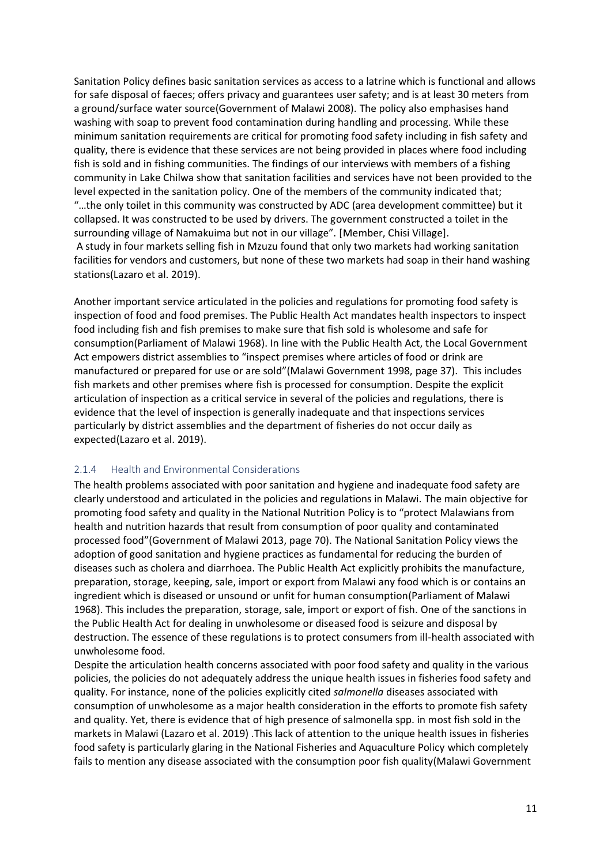Sanitation Policy defines basic sanitation services as access to a latrine which is functional and allows for safe disposal of faeces; offers privacy and guarantees user safety; and is at least 30 meters from a ground/surface water source(Government of Malawi 2008). The policy also emphasises hand washing with soap to prevent food contamination during handling and processing. While these minimum sanitation requirements are critical for promoting food safety including in fish safety and quality, there is evidence that these services are not being provided in places where food including fish is sold and in fishing communities. The findings of our interviews with members of a fishing community in Lake Chilwa show that sanitation facilities and services have not been provided to the level expected in the sanitation policy. One of the members of the community indicated that; "…the only toilet in this community was constructed by ADC (area development committee) but it collapsed. It was constructed to be used by drivers. The government constructed a toilet in the surrounding village of Namakuima but not in our village". [Member, Chisi Village]. A study in four markets selling fish in Mzuzu found that only two markets had working sanitation facilities for vendors and customers, but none of these two markets had soap in their hand washing stations(Lazaro et al. 2019).

Another important service articulated in the policies and regulations for promoting food safety is inspection of food and food premises. The Public Health Act mandates health inspectors to inspect food including fish and fish premises to make sure that fish sold is wholesome and safe for consumption(Parliament of Malawi 1968). In line with the Public Health Act, the Local Government Act empowers district assemblies to "inspect premises where articles of food or drink are manufactured or prepared for use or are sold"(Malawi Government 1998, page 37). This includes fish markets and other premises where fish is processed for consumption. Despite the explicit articulation of inspection as a critical service in several of the policies and regulations, there is evidence that the level of inspection is generally inadequate and that inspections services particularly by district assemblies and the department of fisheries do not occur daily as expected(Lazaro et al. 2019).

#### <span id="page-10-0"></span>2.1.4 Health and Environmental Considerations

The health problems associated with poor sanitation and hygiene and inadequate food safety are clearly understood and articulated in the policies and regulations in Malawi. The main objective for promoting food safety and quality in the National Nutrition Policy is to "protect Malawians from health and nutrition hazards that result from consumption of poor quality and contaminated processed food"(Government of Malawi 2013, page 70). The National Sanitation Policy views the adoption of good sanitation and hygiene practices as fundamental for reducing the burden of diseases such as cholera and diarrhoea. The Public Health Act explicitly prohibits the manufacture, preparation, storage, keeping, sale, import or export from Malawi any food which is or contains an ingredient which is diseased or unsound or unfit for human consumption(Parliament of Malawi 1968). This includes the preparation, storage, sale, import or export of fish. One of the sanctions in the Public Health Act for dealing in unwholesome or diseased food is seizure and disposal by destruction. The essence of these regulations is to protect consumers from ill-health associated with unwholesome food.

Despite the articulation health concerns associated with poor food safety and quality in the various policies, the policies do not adequately address the unique health issues in fisheries food safety and quality. For instance, none of the policies explicitly cited *salmonella* diseases associated with consumption of unwholesome as a major health consideration in the efforts to promote fish safety and quality. Yet, there is evidence that of high presence of salmonella spp. in most fish sold in the markets in Malawi (Lazaro et al. 2019) .This lack of attention to the unique health issues in fisheries food safety is particularly glaring in the National Fisheries and Aquaculture Policy which completely fails to mention any disease associated with the consumption poor fish quality(Malawi Government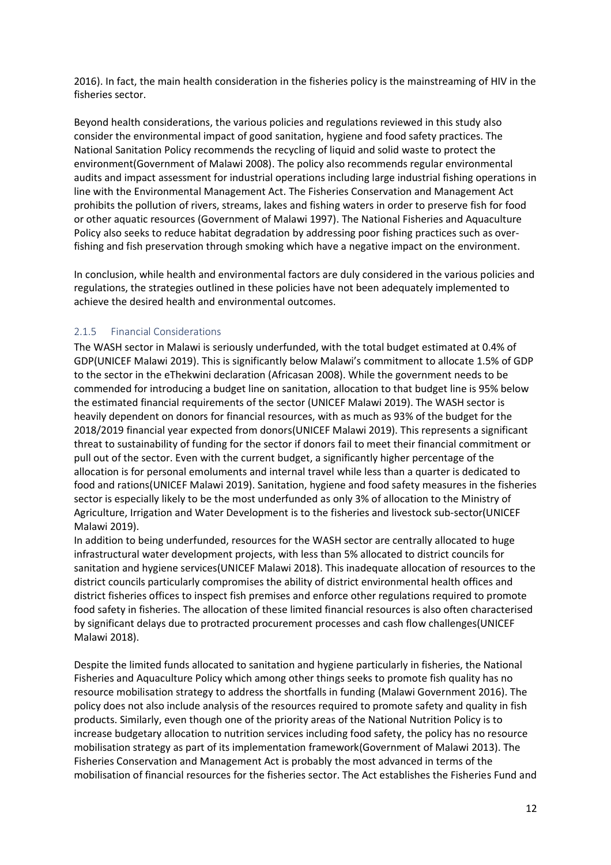2016). In fact, the main health consideration in the fisheries policy is the mainstreaming of HIV in the fisheries sector.

Beyond health considerations, the various policies and regulations reviewed in this study also consider the environmental impact of good sanitation, hygiene and food safety practices. The National Sanitation Policy recommends the recycling of liquid and solid waste to protect the environment(Government of Malawi 2008). The policy also recommends regular environmental audits and impact assessment for industrial operations including large industrial fishing operations in line with the Environmental Management Act. The Fisheries Conservation and Management Act prohibits the pollution of rivers, streams, lakes and fishing waters in order to preserve fish for food or other aquatic resources (Government of Malawi 1997). The National Fisheries and Aquaculture Policy also seeks to reduce habitat degradation by addressing poor fishing practices such as overfishing and fish preservation through smoking which have a negative impact on the environment.

In conclusion, while health and environmental factors are duly considered in the various policies and regulations, the strategies outlined in these policies have not been adequately implemented to achieve the desired health and environmental outcomes.

#### <span id="page-11-0"></span>2.1.5 Financial Considerations

The WASH sector in Malawi is seriously underfunded, with the total budget estimated at 0.4% of GDP(UNICEF Malawi 2019). This is significantly below Malawi's commitment to allocate 1.5% of GDP to the sector in the eThekwini declaration (Africasan 2008). While the government needs to be commended for introducing a budget line on sanitation, allocation to that budget line is 95% below the estimated financial requirements of the sector (UNICEF Malawi 2019). The WASH sector is heavily dependent on donors for financial resources, with as much as 93% of the budget for the 2018/2019 financial year expected from donors(UNICEF Malawi 2019). This represents a significant threat to sustainability of funding for the sector if donors fail to meet their financial commitment or pull out of the sector. Even with the current budget, a significantly higher percentage of the allocation is for personal emoluments and internal travel while less than a quarter is dedicated to food and rations(UNICEF Malawi 2019). Sanitation, hygiene and food safety measures in the fisheries sector is especially likely to be the most underfunded as only 3% of allocation to the Ministry of Agriculture, Irrigation and Water Development is to the fisheries and livestock sub-sector(UNICEF Malawi 2019).

In addition to being underfunded, resources for the WASH sector are centrally allocated to huge infrastructural water development projects, with less than 5% allocated to district councils for sanitation and hygiene services(UNICEF Malawi 2018). This inadequate allocation of resources to the district councils particularly compromises the ability of district environmental health offices and district fisheries offices to inspect fish premises and enforce other regulations required to promote food safety in fisheries. The allocation of these limited financial resources is also often characterised by significant delays due to protracted procurement processes and cash flow challenges(UNICEF Malawi 2018).

Despite the limited funds allocated to sanitation and hygiene particularly in fisheries, the National Fisheries and Aquaculture Policy which among other things seeks to promote fish quality has no resource mobilisation strategy to address the shortfalls in funding (Malawi Government 2016). The policy does not also include analysis of the resources required to promote safety and quality in fish products. Similarly, even though one of the priority areas of the National Nutrition Policy is to increase budgetary allocation to nutrition services including food safety, the policy has no resource mobilisation strategy as part of its implementation framework(Government of Malawi 2013). The Fisheries Conservation and Management Act is probably the most advanced in terms of the mobilisation of financial resources for the fisheries sector. The Act establishes the Fisheries Fund and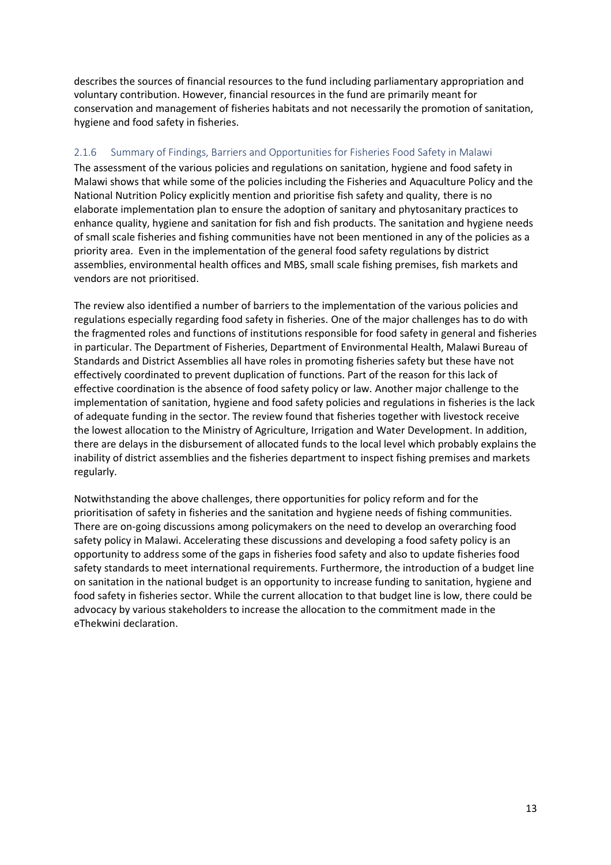describes the sources of financial resources to the fund including parliamentary appropriation and voluntary contribution. However, financial resources in the fund are primarily meant for conservation and management of fisheries habitats and not necessarily the promotion of sanitation, hygiene and food safety in fisheries.

#### <span id="page-12-0"></span>2.1.6 Summary of Findings, Barriers and Opportunities for Fisheries Food Safety in Malawi

The assessment of the various policies and regulations on sanitation, hygiene and food safety in Malawi shows that while some of the policies including the Fisheries and Aquaculture Policy and the National Nutrition Policy explicitly mention and prioritise fish safety and quality, there is no elaborate implementation plan to ensure the adoption of sanitary and phytosanitary practices to enhance quality, hygiene and sanitation for fish and fish products. The sanitation and hygiene needs of small scale fisheries and fishing communities have not been mentioned in any of the policies as a priority area. Even in the implementation of the general food safety regulations by district assemblies, environmental health offices and MBS, small scale fishing premises, fish markets and vendors are not prioritised.

The review also identified a number of barriers to the implementation of the various policies and regulations especially regarding food safety in fisheries. One of the major challenges has to do with the fragmented roles and functions of institutions responsible for food safety in general and fisheries in particular. The Department of Fisheries, Department of Environmental Health, Malawi Bureau of Standards and District Assemblies all have roles in promoting fisheries safety but these have not effectively coordinated to prevent duplication of functions. Part of the reason for this lack of effective coordination is the absence of food safety policy or law. Another major challenge to the implementation of sanitation, hygiene and food safety policies and regulations in fisheries is the lack of adequate funding in the sector. The review found that fisheries together with livestock receive the lowest allocation to the Ministry of Agriculture, Irrigation and Water Development. In addition, there are delays in the disbursement of allocated funds to the local level which probably explains the inability of district assemblies and the fisheries department to inspect fishing premises and markets regularly.

Notwithstanding the above challenges, there opportunities for policy reform and for the prioritisation of safety in fisheries and the sanitation and hygiene needs of fishing communities. There are on-going discussions among policymakers on the need to develop an overarching food safety policy in Malawi. Accelerating these discussions and developing a food safety policy is an opportunity to address some of the gaps in fisheries food safety and also to update fisheries food safety standards to meet international requirements. Furthermore, the introduction of a budget line on sanitation in the national budget is an opportunity to increase funding to sanitation, hygiene and food safety in fisheries sector. While the current allocation to that budget line is low, there could be advocacy by various stakeholders to increase the allocation to the commitment made in the eThekwini declaration.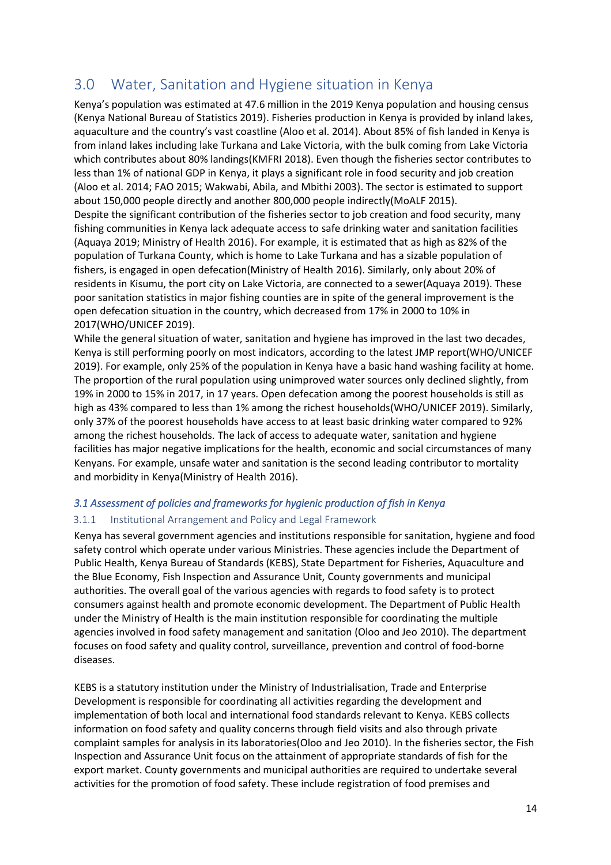# <span id="page-13-0"></span>3.0 Water, Sanitation and Hygiene situation in Kenya

Kenya's population was estimated at 47.6 million in the 2019 Kenya population and housing census (Kenya National Bureau of Statistics 2019). Fisheries production in Kenya is provided by inland lakes, aquaculture and the country's vast coastline (Aloo et al. 2014). About 85% of fish landed in Kenya is from inland lakes including lake Turkana and Lake Victoria, with the bulk coming from Lake Victoria which contributes about 80% landings(KMFRI 2018). Even though the fisheries sector contributes to less than 1% of national GDP in Kenya, it plays a significant role in food security and job creation (Aloo et al. 2014; FAO 2015; Wakwabi, Abila, and Mbithi 2003). The sector is estimated to support about 150,000 people directly and another 800,000 people indirectly(MoALF 2015). Despite the significant contribution of the fisheries sector to job creation and food security, many fishing communities in Kenya lack adequate access to safe drinking water and sanitation facilities (Aquaya 2019; Ministry of Health 2016). For example, it is estimated that as high as 82% of the population of Turkana County, which is home to Lake Turkana and has a sizable population of fishers, is engaged in open defecation(Ministry of Health 2016). Similarly, only about 20% of residents in Kisumu, the port city on Lake Victoria, are connected to a sewer(Aquaya 2019). These poor sanitation statistics in major fishing counties are in spite of the general improvement is the open defecation situation in the country, which decreased from 17% in 2000 to 10% in 2017(WHO/UNICEF 2019).

While the general situation of water, sanitation and hygiene has improved in the last two decades, Kenya is still performing poorly on most indicators, according to the latest JMP report(WHO/UNICEF 2019). For example, only 25% of the population in Kenya have a basic hand washing facility at home. The proportion of the rural population using unimproved water sources only declined slightly, from 19% in 2000 to 15% in 2017, in 17 years. Open defecation among the poorest households is still as high as 43% compared to less than 1% among the richest households(WHO/UNICEF 2019). Similarly, only 37% of the poorest households have access to at least basic drinking water compared to 92% among the richest households. The lack of access to adequate water, sanitation and hygiene facilities has major negative implications for the health, economic and social circumstances of many Kenyans. For example, unsafe water and sanitation is the second leading contributor to mortality and morbidity in Kenya(Ministry of Health 2016).

#### <span id="page-13-1"></span>*3.1 Assessment of policies and frameworks for hygienic production of fish in Kenya*

#### <span id="page-13-2"></span>3.1.1 Institutional Arrangement and Policy and Legal Framework

Kenya has several government agencies and institutions responsible for sanitation, hygiene and food safety control which operate under various Ministries. These agencies include the Department of Public Health, Kenya Bureau of Standards (KEBS), State Department for Fisheries, Aquaculture and the Blue Economy, Fish Inspection and Assurance Unit, County governments and municipal authorities. The overall goal of the various agencies with regards to food safety is to protect consumers against health and promote economic development. The Department of Public Health under the Ministry of Health is the main institution responsible for coordinating the multiple agencies involved in food safety management and sanitation (Oloo and Jeo 2010). The department focuses on food safety and quality control, surveillance, prevention and control of food-borne diseases.

KEBS is a statutory institution under the Ministry of Industrialisation, Trade and Enterprise Development is responsible for coordinating all activities regarding the development and implementation of both local and international food standards relevant to Kenya. KEBS collects information on food safety and quality concerns through field visits and also through private complaint samples for analysis in its laboratories(Oloo and Jeo 2010). In the fisheries sector, the Fish Inspection and Assurance Unit focus on the attainment of appropriate standards of fish for the export market. County governments and municipal authorities are required to undertake several activities for the promotion of food safety. These include registration of food premises and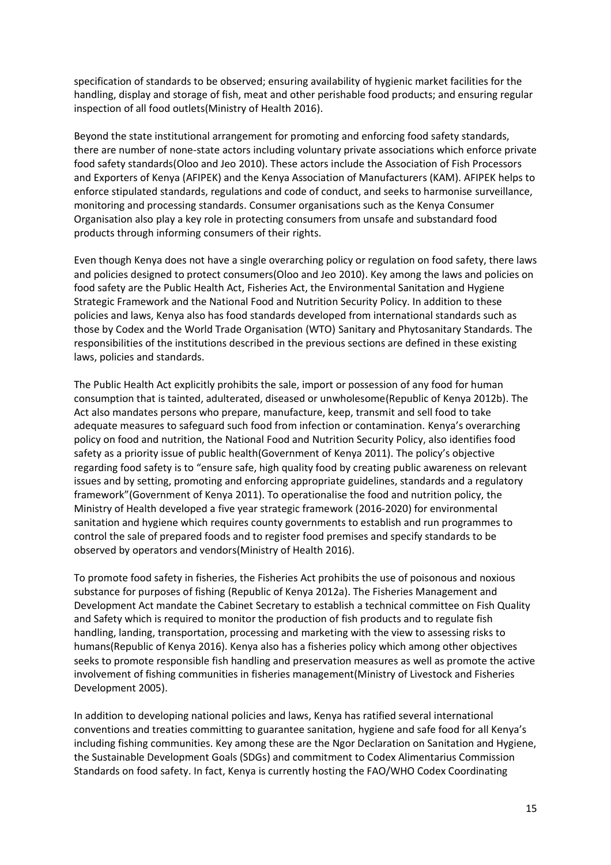specification of standards to be observed; ensuring availability of hygienic market facilities for the handling, display and storage of fish, meat and other perishable food products; and ensuring regular inspection of all food outlets(Ministry of Health 2016).

Beyond the state institutional arrangement for promoting and enforcing food safety standards, there are number of none-state actors including voluntary private associations which enforce private food safety standards(Oloo and Jeo 2010). These actors include the Association of Fish Processors and Exporters of Kenya (AFIPEK) and the Kenya Association of Manufacturers (KAM). AFIPEK helps to enforce stipulated standards, regulations and code of conduct, and seeks to harmonise surveillance, monitoring and processing standards. Consumer organisations such as the Kenya Consumer Organisation also play a key role in protecting consumers from unsafe and substandard food products through informing consumers of their rights.

Even though Kenya does not have a single overarching policy or regulation on food safety, there laws and policies designed to protect consumers(Oloo and Jeo 2010). Key among the laws and policies on food safety are the Public Health Act, Fisheries Act, the Environmental Sanitation and Hygiene Strategic Framework and the National Food and Nutrition Security Policy. In addition to these policies and laws, Kenya also has food standards developed from international standards such as those by Codex and the World Trade Organisation (WTO) Sanitary and Phytosanitary Standards. The responsibilities of the institutions described in the previous sections are defined in these existing laws, policies and standards.

The Public Health Act explicitly prohibits the sale, import or possession of any food for human consumption that is tainted, adulterated, diseased or unwholesome(Republic of Kenya 2012b). The Act also mandates persons who prepare, manufacture, keep, transmit and sell food to take adequate measures to safeguard such food from infection or contamination. Kenya's overarching policy on food and nutrition, the National Food and Nutrition Security Policy, also identifies food safety as a priority issue of public health(Government of Kenya 2011). The policy's objective regarding food safety is to "ensure safe, high quality food by creating public awareness on relevant issues and by setting, promoting and enforcing appropriate guidelines, standards and a regulatory framework"(Government of Kenya 2011). To operationalise the food and nutrition policy, the Ministry of Health developed a five year strategic framework (2016-2020) for environmental sanitation and hygiene which requires county governments to establish and run programmes to control the sale of prepared foods and to register food premises and specify standards to be observed by operators and vendors(Ministry of Health 2016).

To promote food safety in fisheries, the Fisheries Act prohibits the use of poisonous and noxious substance for purposes of fishing (Republic of Kenya 2012a). The Fisheries Management and Development Act mandate the Cabinet Secretary to establish a technical committee on Fish Quality and Safety which is required to monitor the production of fish products and to regulate fish handling, landing, transportation, processing and marketing with the view to assessing risks to humans(Republic of Kenya 2016). Kenya also has a fisheries policy which among other objectives seeks to promote responsible fish handling and preservation measures as well as promote the active involvement of fishing communities in fisheries management(Ministry of Livestock and Fisheries Development 2005).

In addition to developing national policies and laws, Kenya has ratified several international conventions and treaties committing to guarantee sanitation, hygiene and safe food for all Kenya's including fishing communities. Key among these are the Ngor Declaration on Sanitation and Hygiene, the Sustainable Development Goals (SDGs) and commitment to Codex Alimentarius Commission Standards on food safety. In fact, Kenya is currently hosting the FAO/WHO Codex Coordinating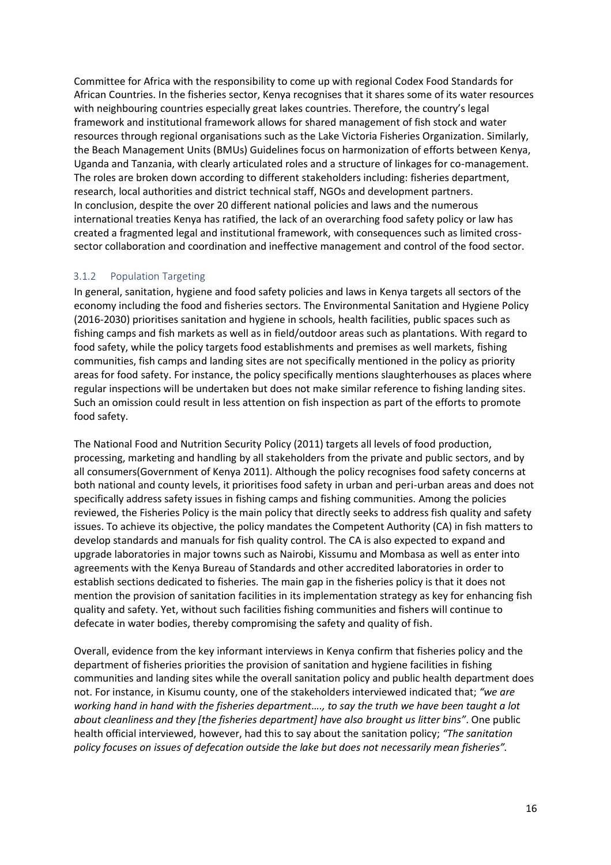Committee for Africa with the responsibility to come up with regional Codex Food Standards for African Countries. In the fisheries sector, Kenya recognises that it shares some of its water resources with neighbouring countries especially great lakes countries. Therefore, the country's legal framework and institutional framework allows for shared management of fish stock and water resources through regional organisations such as the Lake Victoria Fisheries Organization. Similarly, the Beach Management Units (BMUs) Guidelines focus on harmonization of efforts between Kenya, Uganda and Tanzania, with clearly articulated roles and a structure of linkages for co-management. The roles are broken down according to different stakeholders including: fisheries department, research, local authorities and district technical staff, NGOs and development partners. In conclusion, despite the over 20 different national policies and laws and the numerous international treaties Kenya has ratified, the lack of an overarching food safety policy or law has created a fragmented legal and institutional framework, with consequences such as limited crosssector collaboration and coordination and ineffective management and control of the food sector.

#### <span id="page-15-0"></span>3.1.2 Population Targeting

In general, sanitation, hygiene and food safety policies and laws in Kenya targets all sectors of the economy including the food and fisheries sectors. The Environmental Sanitation and Hygiene Policy (2016-2030) prioritises sanitation and hygiene in schools, health facilities, public spaces such as fishing camps and fish markets as well as in field/outdoor areas such as plantations. With regard to food safety, while the policy targets food establishments and premises as well markets, fishing communities, fish camps and landing sites are not specifically mentioned in the policy as priority areas for food safety. For instance, the policy specifically mentions slaughterhouses as places where regular inspections will be undertaken but does not make similar reference to fishing landing sites. Such an omission could result in less attention on fish inspection as part of the efforts to promote food safety.

The National Food and Nutrition Security Policy (2011) targets all levels of food production, processing, marketing and handling by all stakeholders from the private and public sectors, and by all consumers(Government of Kenya 2011). Although the policy recognises food safety concerns at both national and county levels, it prioritises food safety in urban and peri-urban areas and does not specifically address safety issues in fishing camps and fishing communities. Among the policies reviewed, the Fisheries Policy is the main policy that directly seeks to address fish quality and safety issues. To achieve its objective, the policy mandates the Competent Authority (CA) in fish matters to develop standards and manuals for fish quality control. The CA is also expected to expand and upgrade laboratories in major towns such as Nairobi, Kissumu and Mombasa as well as enter into agreements with the Kenya Bureau of Standards and other accredited laboratories in order to establish sections dedicated to fisheries. The main gap in the fisheries policy is that it does not mention the provision of sanitation facilities in its implementation strategy as key for enhancing fish quality and safety. Yet, without such facilities fishing communities and fishers will continue to defecate in water bodies, thereby compromising the safety and quality of fish.

Overall, evidence from the key informant interviews in Kenya confirm that fisheries policy and the department of fisheries priorities the provision of sanitation and hygiene facilities in fishing communities and landing sites while the overall sanitation policy and public health department does not. For instance, in Kisumu county, one of the stakeholders interviewed indicated that; *"we are working hand in hand with the fisheries department…., to say the truth we have been taught a lot about cleanliness and they [the fisheries department] have also brought us litter bins"*. One public health official interviewed, however, had this to say about the sanitation policy; *"The sanitation policy focuses on issues of defecation outside the lake but does not necessarily mean fisheries".*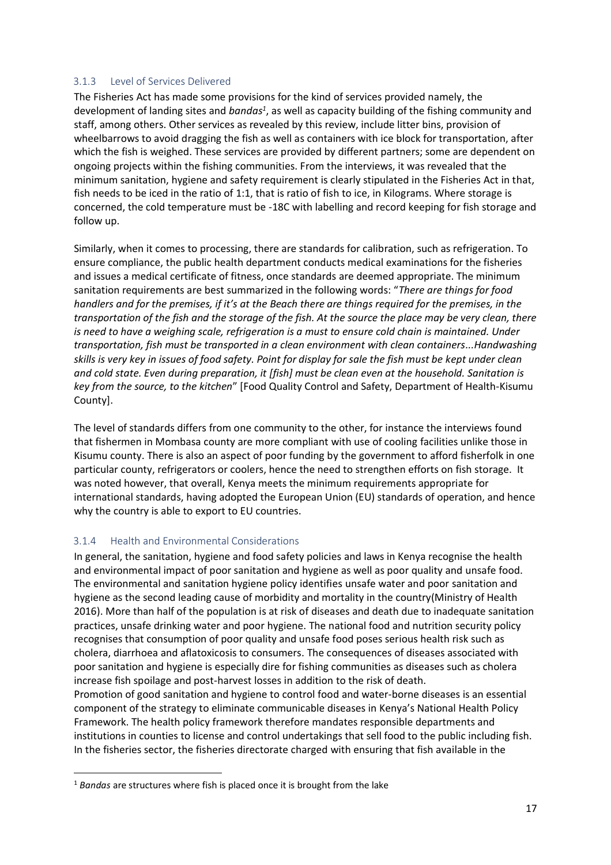#### <span id="page-16-0"></span>3.1.3 Level of Services Delivered

The Fisheries Act has made some provisions for the kind of services provided namely, the development of landing sites and *bandas<sup>1</sup>*, as well as capacity building of the fishing community and staff, among others. Other services as revealed by this review, include litter bins, provision of wheelbarrows to avoid dragging the fish as well as containers with ice block for transportation, after which the fish is weighed. These services are provided by different partners; some are dependent on ongoing projects within the fishing communities. From the interviews, it was revealed that the minimum sanitation, hygiene and safety requirement is clearly stipulated in the Fisheries Act in that, fish needs to be iced in the ratio of 1:1, that is ratio of fish to ice, in Kilograms. Where storage is concerned, the cold temperature must be -18C with labelling and record keeping for fish storage and follow up.

Similarly, when it comes to processing, there are standards for calibration, such as refrigeration. To ensure compliance, the public health department conducts medical examinations for the fisheries and issues a medical certificate of fitness, once standards are deemed appropriate. The minimum sanitation requirements are best summarized in the following words: "*There are things for food handlers and for the premises, if it's at the Beach there are things required for the premises, in the transportation of the fish and the storage of the fish. At the source the place may be very clean, there is need to have a weighing scale, refrigeration is a must to ensure cold chain is maintained. Under transportation, fish must be transported in a clean environment with clean containers...Handwashing skills is very key in issues of food safety. Point for display for sale the fish must be kept under clean and cold state. Even during preparation, it [fish] must be clean even at the household. Sanitation is key from the source, to the kitchen*" [Food Quality Control and Safety, Department of Health-Kisumu County].

The level of standards differs from one community to the other, for instance the interviews found that fishermen in Mombasa county are more compliant with use of cooling facilities unlike those in Kisumu county. There is also an aspect of poor funding by the government to afford fisherfolk in one particular county, refrigerators or coolers, hence the need to strengthen efforts on fish storage. It was noted however, that overall, Kenya meets the minimum requirements appropriate for international standards, having adopted the European Union (EU) standards of operation, and hence why the country is able to export to EU countries.

#### <span id="page-16-1"></span>3.1.4 Health and Environmental Considerations

In general, the sanitation, hygiene and food safety policies and laws in Kenya recognise the health and environmental impact of poor sanitation and hygiene as well as poor quality and unsafe food. The environmental and sanitation hygiene policy identifies unsafe water and poor sanitation and hygiene as the second leading cause of morbidity and mortality in the country(Ministry of Health 2016). More than half of the population is at risk of diseases and death due to inadequate sanitation practices, unsafe drinking water and poor hygiene. The national food and nutrition security policy recognises that consumption of poor quality and unsafe food poses serious health risk such as cholera, diarrhoea and aflatoxicosis to consumers. The consequences of diseases associated with poor sanitation and hygiene is especially dire for fishing communities as diseases such as cholera increase fish spoilage and post-harvest losses in addition to the risk of death.

Promotion of good sanitation and hygiene to control food and water-borne diseases is an essential component of the strategy to eliminate communicable diseases in Kenya's National Health Policy Framework. The health policy framework therefore mandates responsible departments and institutions in counties to license and control undertakings that sell food to the public including fish. In the fisheries sector, the fisheries directorate charged with ensuring that fish available in the

<sup>1</sup> *Bandas* are structures where fish is placed once it is brought from the lake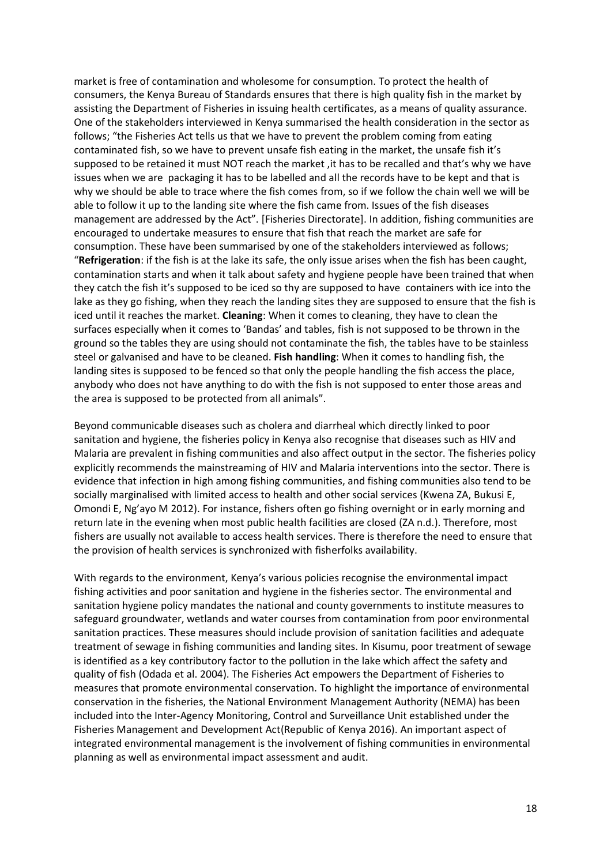market is free of contamination and wholesome for consumption. To protect the health of consumers, the Kenya Bureau of Standards ensures that there is high quality fish in the market by assisting the Department of Fisheries in issuing health certificates, as a means of quality assurance. One of the stakeholders interviewed in Kenya summarised the health consideration in the sector as follows; "the Fisheries Act tells us that we have to prevent the problem coming from eating contaminated fish, so we have to prevent unsafe fish eating in the market, the unsafe fish it's supposed to be retained it must NOT reach the market ,it has to be recalled and that's why we have issues when we are packaging it has to be labelled and all the records have to be kept and that is why we should be able to trace where the fish comes from, so if we follow the chain well we will be able to follow it up to the landing site where the fish came from. Issues of the fish diseases management are addressed by the Act". [Fisheries Directorate]. In addition, fishing communities are encouraged to undertake measures to ensure that fish that reach the market are safe for consumption. These have been summarised by one of the stakeholders interviewed as follows; "**Refrigeration**: if the fish is at the lake its safe, the only issue arises when the fish has been caught, contamination starts and when it talk about safety and hygiene people have been trained that when they catch the fish it's supposed to be iced so thy are supposed to have containers with ice into the lake as they go fishing, when they reach the landing sites they are supposed to ensure that the fish is iced until it reaches the market. **Cleaning**: When it comes to cleaning, they have to clean the surfaces especially when it comes to 'Bandas' and tables, fish is not supposed to be thrown in the ground so the tables they are using should not contaminate the fish, the tables have to be stainless steel or galvanised and have to be cleaned. **Fish handling**: When it comes to handling fish, the landing sites is supposed to be fenced so that only the people handling the fish access the place, anybody who does not have anything to do with the fish is not supposed to enter those areas and the area is supposed to be protected from all animals".

Beyond communicable diseases such as cholera and diarrheal which directly linked to poor sanitation and hygiene, the fisheries policy in Kenya also recognise that diseases such as HIV and Malaria are prevalent in fishing communities and also affect output in the sector. The fisheries policy explicitly recommends the mainstreaming of HIV and Malaria interventions into the sector. There is evidence that infection in high among fishing communities, and fishing communities also tend to be socially marginalised with limited access to health and other social services (Kwena ZA, Bukusi E, Omondi E, Ng'ayo M 2012). For instance, fishers often go fishing overnight or in early morning and return late in the evening when most public health facilities are closed (ZA n.d.). Therefore, most fishers are usually not available to access health services. There is therefore the need to ensure that the provision of health services is synchronized with fisherfolks availability.

With regards to the environment, Kenya's various policies recognise the environmental impact fishing activities and poor sanitation and hygiene in the fisheries sector. The environmental and sanitation hygiene policy mandates the national and county governments to institute measures to safeguard groundwater, wetlands and water courses from contamination from poor environmental sanitation practices. These measures should include provision of sanitation facilities and adequate treatment of sewage in fishing communities and landing sites. In Kisumu, poor treatment of sewage is identified as a key contributory factor to the pollution in the lake which affect the safety and quality of fish (Odada et al. 2004). The Fisheries Act empowers the Department of Fisheries to measures that promote environmental conservation. To highlight the importance of environmental conservation in the fisheries, the National Environment Management Authority (NEMA) has been included into the Inter-Agency Monitoring, Control and Surveillance Unit established under the Fisheries Management and Development Act(Republic of Kenya 2016). An important aspect of integrated environmental management is the involvement of fishing communities in environmental planning as well as environmental impact assessment and audit.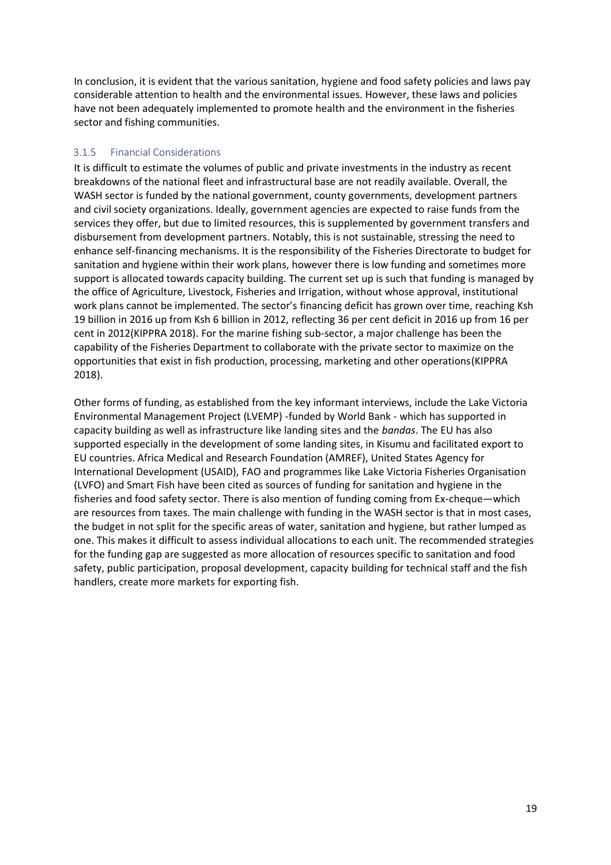In conclusion, it is evident that the various sanitation, hygiene and food safety policies and laws pay considerable attention to health and the environmental issues. However, these laws and policies have not been adequately implemented to promote health and the environment in the fisheries sector and fishing communities.

#### <span id="page-18-0"></span>3.1.5 Financial Considerations

It is difficult to estimate the volumes of public and private investments in the industry as recent breakdowns of the national fleet and infrastructural base are not readily available. Overall, the WASH sector is funded by the national government, county governments, development partners and civil society organizations. Ideally, government agencies are expected to raise funds from the services they offer, but due to limited resources, this is supplemented by government transfers and disbursement from development partners. Notably, this is not sustainable, stressing the need to enhance self-financing mechanisms. It is the responsibility of the Fisheries Directorate to budget for sanitation and hygiene within their work plans, however there is low funding and sometimes more support is allocated towards capacity building. The current set up is such that funding is managed by the office of Agriculture, Livestock, Fisheries and Irrigation, without whose approval, institutional work plans cannot be implemented. The sector's financing deficit has grown over time, reaching Ksh 19 billion in 2016 up from Ksh 6 billion in 2012, reflecting 36 per cent deficit in 2016 up from 16 per cent in 2012(KIPPRA 2018). For the marine fishing sub-sector, a major challenge has been the capability of the Fisheries Department to collaborate with the private sector to maximize on the opportunities that exist in fish production, processing, marketing and other operations(KIPPRA 2018).

Other forms of funding, as established from the key informant interviews, include the Lake Victoria Environmental Management Project (LVEMP) -funded by World Bank - which has supported in capacity building as well as infrastructure like landing sites and the *bandas*. The EU has also supported especially in the development of some landing sites, in Kisumu and facilitated export to EU countries. Africa Medical and Research Foundation (AMREF), United States Agency for International Development (USAID), FAO and programmes like Lake Victoria Fisheries Organisation (LVFO) and Smart Fish have been cited as sources of funding for sanitation and hygiene in the fisheries and food safety sector. There is also mention of funding coming from Ex-cheque—which are resources from taxes. The main challenge with funding in the WASH sector is that in most cases, the budget in not split for the specific areas of water, sanitation and hygiene, but rather lumped as one. This makes it difficult to assess individual allocations to each unit. The recommended strategies for the funding gap are suggested as more allocation of resources specific to sanitation and food safety, public participation, proposal development, capacity building for technical staff and the fish handlers, create more markets for exporting fish.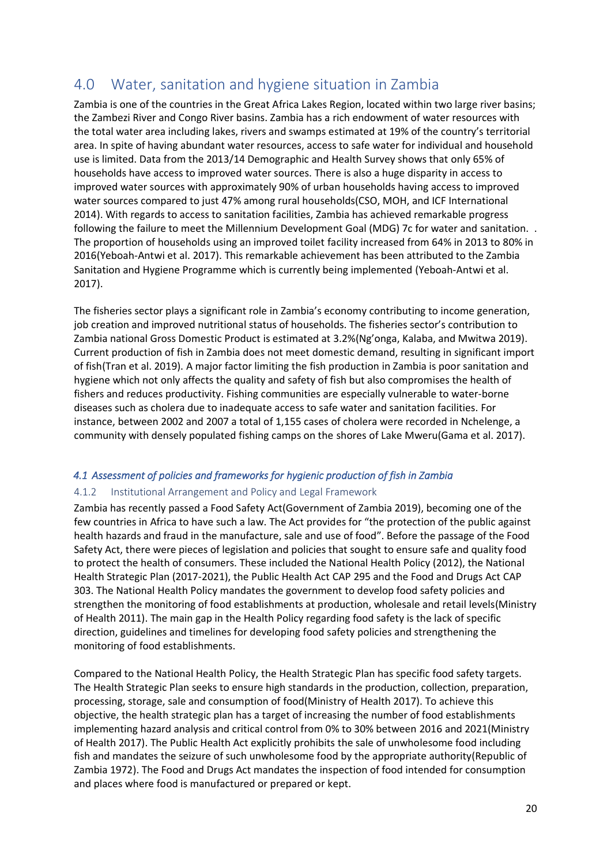# <span id="page-19-0"></span>4.0 Water, sanitation and hygiene situation in Zambia

Zambia is one of the countries in the Great Africa Lakes Region, located within two large river basins; the Zambezi River and Congo River basins. Zambia has a rich endowment of water resources with the total water area including lakes, rivers and swamps estimated at 19% of the country's territorial area. In spite of having abundant water resources, access to safe water for individual and household use is limited. Data from the 2013/14 Demographic and Health Survey shows that only 65% of households have access to improved water sources. There is also a huge disparity in access to improved water sources with approximately 90% of urban households having access to improved water sources compared to just 47% among rural households(CSO, MOH, and ICF International 2014). With regards to access to sanitation facilities, Zambia has achieved remarkable progress following the failure to meet the Millennium Development Goal (MDG) 7c for water and sanitation. . The proportion of households using an improved toilet facility increased from 64% in 2013 to 80% in 2016(Yeboah-Antwi et al. 2017). This remarkable achievement has been attributed to the Zambia Sanitation and Hygiene Programme which is currently being implemented (Yeboah-Antwi et al. 2017).

The fisheries sector plays a significant role in Zambia's economy contributing to income generation, job creation and improved nutritional status of households. The fisheries sector's contribution to Zambia national Gross Domestic Product is estimated at 3.2%(Ng'onga, Kalaba, and Mwitwa 2019). Current production of fish in Zambia does not meet domestic demand, resulting in significant import of fish(Tran et al. 2019). A major factor limiting the fish production in Zambia is poor sanitation and hygiene which not only affects the quality and safety of fish but also compromises the health of fishers and reduces productivity. Fishing communities are especially vulnerable to water-borne diseases such as cholera due to inadequate access to safe water and sanitation facilities. For instance, between 2002 and 2007 a total of 1,155 cases of cholera were recorded in Nchelenge, a community with densely populated fishing camps on the shores of Lake Mweru(Gama et al. 2017).

#### <span id="page-19-1"></span>*4.1 Assessment of policies and frameworks for hygienic production of fish in Zambia*

#### <span id="page-19-2"></span>4.1.2 Institutional Arrangement and Policy and Legal Framework

Zambia has recently passed a Food Safety Act(Government of Zambia 2019), becoming one of the few countries in Africa to have such a law. The Act provides for "the protection of the public against health hazards and fraud in the manufacture, sale and use of food". Before the passage of the Food Safety Act, there were pieces of legislation and policies that sought to ensure safe and quality food to protect the health of consumers. These included the National Health Policy (2012), the National Health Strategic Plan (2017-2021), the Public Health Act CAP 295 and the Food and Drugs Act CAP 303. The National Health Policy mandates the government to develop food safety policies and strengthen the monitoring of food establishments at production, wholesale and retail levels(Ministry of Health 2011). The main gap in the Health Policy regarding food safety is the lack of specific direction, guidelines and timelines for developing food safety policies and strengthening the monitoring of food establishments.

Compared to the National Health Policy, the Health Strategic Plan has specific food safety targets. The Health Strategic Plan seeks to ensure high standards in the production, collection, preparation, processing, storage, sale and consumption of food(Ministry of Health 2017). To achieve this objective, the health strategic plan has a target of increasing the number of food establishments implementing hazard analysis and critical control from 0% to 30% between 2016 and 2021(Ministry of Health 2017). The Public Health Act explicitly prohibits the sale of unwholesome food including fish and mandates the seizure of such unwholesome food by the appropriate authority(Republic of Zambia 1972). The Food and Drugs Act mandates the inspection of food intended for consumption and places where food is manufactured or prepared or kept.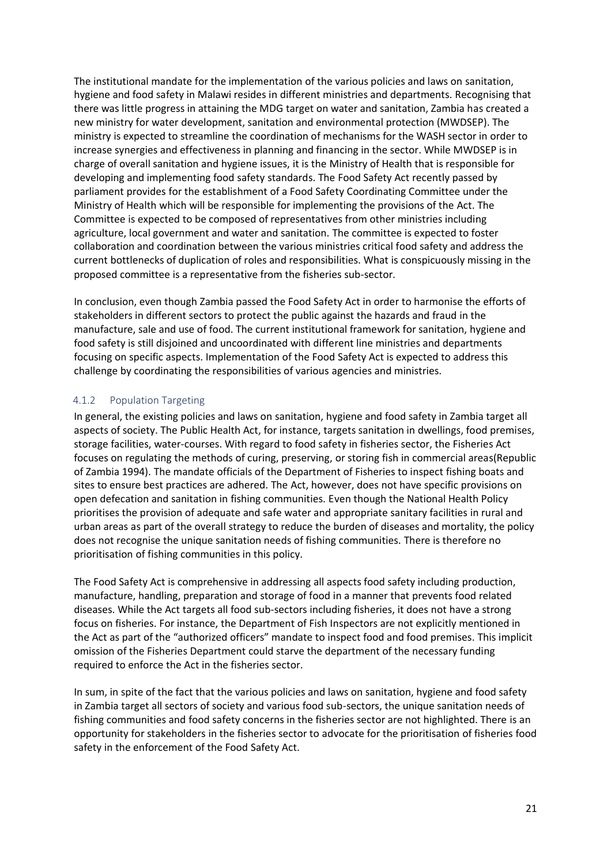The institutional mandate for the implementation of the various policies and laws on sanitation, hygiene and food safety in Malawi resides in different ministries and departments. Recognising that there was little progress in attaining the MDG target on water and sanitation, Zambia has created a new ministry for water development, sanitation and environmental protection (MWDSEP). The ministry is expected to streamline the coordination of mechanisms for the WASH sector in order to increase synergies and effectiveness in planning and financing in the sector. While MWDSEP is in charge of overall sanitation and hygiene issues, it is the Ministry of Health that is responsible for developing and implementing food safety standards. The Food Safety Act recently passed by parliament provides for the establishment of a Food Safety Coordinating Committee under the Ministry of Health which will be responsible for implementing the provisions of the Act. The Committee is expected to be composed of representatives from other ministries including agriculture, local government and water and sanitation. The committee is expected to foster collaboration and coordination between the various ministries critical food safety and address the current bottlenecks of duplication of roles and responsibilities. What is conspicuously missing in the proposed committee is a representative from the fisheries sub-sector.

In conclusion, even though Zambia passed the Food Safety Act in order to harmonise the efforts of stakeholders in different sectors to protect the public against the hazards and fraud in the manufacture, sale and use of food. The current institutional framework for sanitation, hygiene and food safety is still disjoined and uncoordinated with different line ministries and departments focusing on specific aspects. Implementation of the Food Safety Act is expected to address this challenge by coordinating the responsibilities of various agencies and ministries.

#### <span id="page-20-0"></span>4.1.2 Population Targeting

In general, the existing policies and laws on sanitation, hygiene and food safety in Zambia target all aspects of society. The Public Health Act, for instance, targets sanitation in dwellings, food premises, storage facilities, water-courses. With regard to food safety in fisheries sector, the Fisheries Act focuses on regulating the methods of curing, preserving, or storing fish in commercial areas(Republic of Zambia 1994). The mandate officials of the Department of Fisheries to inspect fishing boats and sites to ensure best practices are adhered. The Act, however, does not have specific provisions on open defecation and sanitation in fishing communities. Even though the National Health Policy prioritises the provision of adequate and safe water and appropriate sanitary facilities in rural and urban areas as part of the overall strategy to reduce the burden of diseases and mortality, the policy does not recognise the unique sanitation needs of fishing communities. There is therefore no prioritisation of fishing communities in this policy.

The Food Safety Act is comprehensive in addressing all aspects food safety including production, manufacture, handling, preparation and storage of food in a manner that prevents food related diseases. While the Act targets all food sub-sectors including fisheries, it does not have a strong focus on fisheries. For instance, the Department of Fish Inspectors are not explicitly mentioned in the Act as part of the "authorized officers" mandate to inspect food and food premises. This implicit omission of the Fisheries Department could starve the department of the necessary funding required to enforce the Act in the fisheries sector.

In sum, in spite of the fact that the various policies and laws on sanitation, hygiene and food safety in Zambia target all sectors of society and various food sub-sectors, the unique sanitation needs of fishing communities and food safety concerns in the fisheries sector are not highlighted. There is an opportunity for stakeholders in the fisheries sector to advocate for the prioritisation of fisheries food safety in the enforcement of the Food Safety Act.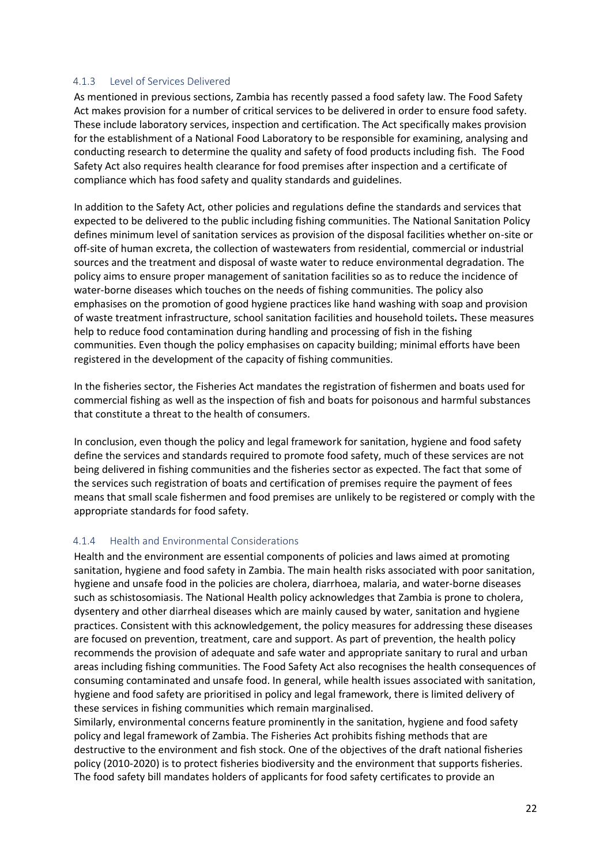#### <span id="page-21-0"></span>4.1.3 Level of Services Delivered

As mentioned in previous sections, Zambia has recently passed a food safety law. The Food Safety Act makes provision for a number of critical services to be delivered in order to ensure food safety. These include laboratory services, inspection and certification. The Act specifically makes provision for the establishment of a National Food Laboratory to be responsible for examining, analysing and conducting research to determine the quality and safety of food products including fish. The Food Safety Act also requires health clearance for food premises after inspection and a certificate of compliance which has food safety and quality standards and guidelines.

In addition to the Safety Act, other policies and regulations define the standards and services that expected to be delivered to the public including fishing communities. The National Sanitation Policy defines minimum level of sanitation services as provision of the disposal facilities whether on-site or off-site of human excreta, the collection of wastewaters from residential, commercial or industrial sources and the treatment and disposal of waste water to reduce environmental degradation. The policy aims to ensure proper management of sanitation facilities so as to reduce the incidence of water-borne diseases which touches on the needs of fishing communities. The policy also emphasises on the promotion of good hygiene practices like hand washing with soap and provision of waste treatment infrastructure, school sanitation facilities and household toilets**.** These measures help to reduce food contamination during handling and processing of fish in the fishing communities. Even though the policy emphasises on capacity building; minimal efforts have been registered in the development of the capacity of fishing communities.

In the fisheries sector, the Fisheries Act mandates the registration of fishermen and boats used for commercial fishing as well as the inspection of fish and boats for poisonous and harmful substances that constitute a threat to the health of consumers.

In conclusion, even though the policy and legal framework for sanitation, hygiene and food safety define the services and standards required to promote food safety, much of these services are not being delivered in fishing communities and the fisheries sector as expected. The fact that some of the services such registration of boats and certification of premises require the payment of fees means that small scale fishermen and food premises are unlikely to be registered or comply with the appropriate standards for food safety.

#### <span id="page-21-1"></span>4.1.4 Health and Environmental Considerations

Health and the environment are essential components of policies and laws aimed at promoting sanitation, hygiene and food safety in Zambia. The main health risks associated with poor sanitation, hygiene and unsafe food in the policies are cholera, diarrhoea, malaria, and water-borne diseases such as schistosomiasis. The National Health policy acknowledges that Zambia is prone to cholera, dysentery and other diarrheal diseases which are mainly caused by water, sanitation and hygiene practices. Consistent with this acknowledgement, the policy measures for addressing these diseases are focused on prevention, treatment, care and support. As part of prevention, the health policy recommends the provision of adequate and safe water and appropriate sanitary to rural and urban areas including fishing communities. The Food Safety Act also recognises the health consequences of consuming contaminated and unsafe food. In general, while health issues associated with sanitation, hygiene and food safety are prioritised in policy and legal framework, there is limited delivery of these services in fishing communities which remain marginalised.

Similarly, environmental concerns feature prominently in the sanitation, hygiene and food safety policy and legal framework of Zambia. The Fisheries Act prohibits fishing methods that are destructive to the environment and fish stock. One of the objectives of the draft national fisheries policy (2010-2020) is to protect fisheries biodiversity and the environment that supports fisheries. The food safety bill mandates holders of applicants for food safety certificates to provide an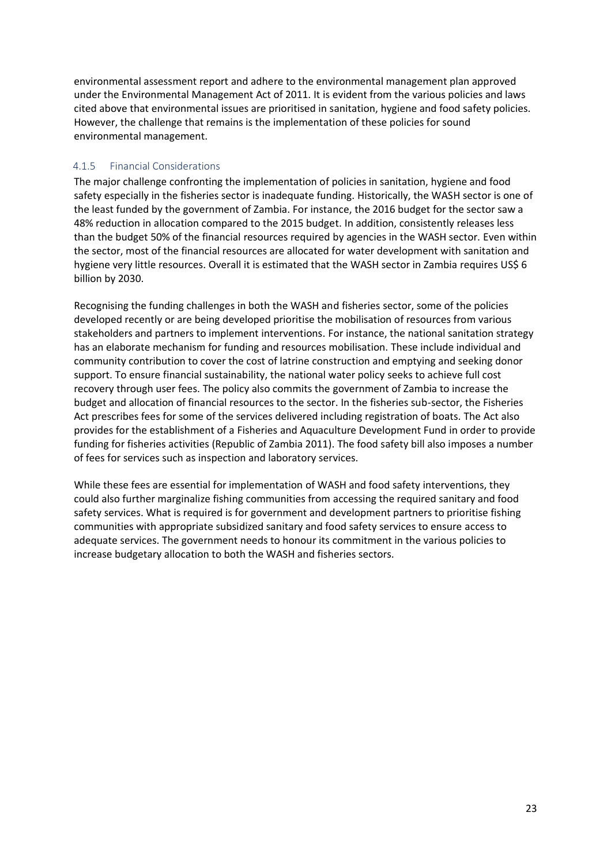environmental assessment report and adhere to the environmental management plan approved under the Environmental Management Act of 2011. It is evident from the various policies and laws cited above that environmental issues are prioritised in sanitation, hygiene and food safety policies. However, the challenge that remains is the implementation of these policies for sound environmental management.

#### <span id="page-22-0"></span>4.1.5 Financial Considerations

The major challenge confronting the implementation of policies in sanitation, hygiene and food safety especially in the fisheries sector is inadequate funding. Historically, the WASH sector is one of the least funded by the government of Zambia. For instance, the 2016 budget for the sector saw a 48% reduction in allocation compared to the 2015 budget. In addition, consistently releases less than the budget 50% of the financial resources required by agencies in the WASH sector. Even within the sector, most of the financial resources are allocated for water development with sanitation and hygiene very little resources. Overall it is estimated that the WASH sector in Zambia requires US\$ 6 billion by 2030.

Recognising the funding challenges in both the WASH and fisheries sector, some of the policies developed recently or are being developed prioritise the mobilisation of resources from various stakeholders and partners to implement interventions. For instance, the national sanitation strategy has an elaborate mechanism for funding and resources mobilisation. These include individual and community contribution to cover the cost of latrine construction and emptying and seeking donor support. To ensure financial sustainability, the national water policy seeks to achieve full cost recovery through user fees. The policy also commits the government of Zambia to increase the budget and allocation of financial resources to the sector. In the fisheries sub-sector, the Fisheries Act prescribes fees for some of the services delivered including registration of boats. The Act also provides for the establishment of a Fisheries and Aquaculture Development Fund in order to provide funding for fisheries activities (Republic of Zambia 2011). The food safety bill also imposes a number of fees for services such as inspection and laboratory services.

While these fees are essential for implementation of WASH and food safety interventions, they could also further marginalize fishing communities from accessing the required sanitary and food safety services. What is required is for government and development partners to prioritise fishing communities with appropriate subsidized sanitary and food safety services to ensure access to adequate services. The government needs to honour its commitment in the various policies to increase budgetary allocation to both the WASH and fisheries sectors.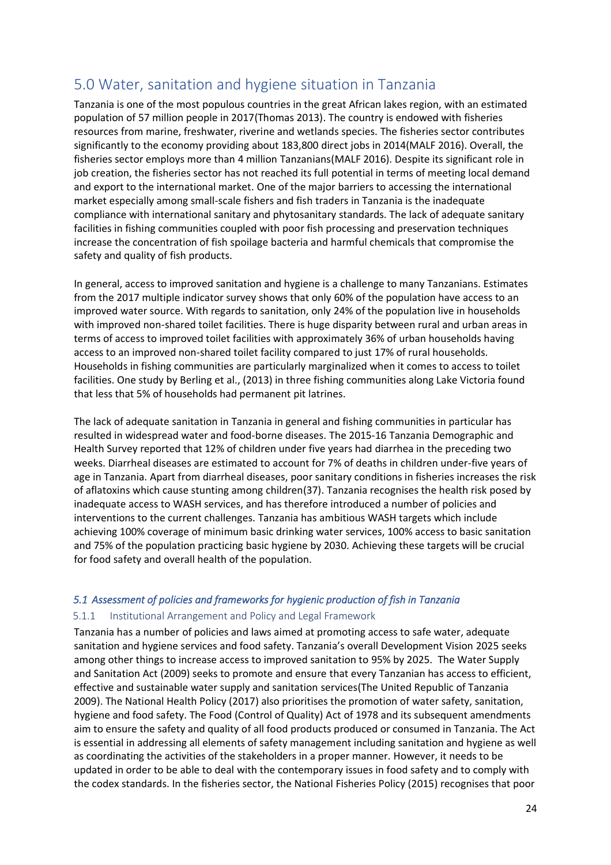# <span id="page-23-0"></span>5.0 Water, sanitation and hygiene situation in Tanzania

Tanzania is one of the most populous countries in the great African lakes region, with an estimated population of 57 million people in 2017(Thomas 2013). The country is endowed with fisheries resources from marine, freshwater, riverine and wetlands species. The fisheries sector contributes significantly to the economy providing about 183,800 direct jobs in 2014(MALF 2016). Overall, the fisheries sector employs more than 4 million Tanzanians(MALF 2016). Despite its significant role in job creation, the fisheries sector has not reached its full potential in terms of meeting local demand and export to the international market. One of the major barriers to accessing the international market especially among small-scale fishers and fish traders in Tanzania is the inadequate compliance with international sanitary and phytosanitary standards. The lack of adequate sanitary facilities in fishing communities coupled with poor fish processing and preservation techniques increase the concentration of fish spoilage bacteria and harmful chemicals that compromise the safety and quality of fish products.

In general, access to improved sanitation and hygiene is a challenge to many Tanzanians. Estimates from the 2017 multiple indicator survey shows that only 60% of the population have access to an improved water source. With regards to sanitation, only 24% of the population live in households with improved non-shared toilet facilities. There is huge disparity between rural and urban areas in terms of access to improved toilet facilities with approximately 36% of urban households having access to an improved non-shared toilet facility compared to just 17% of rural households. Households in fishing communities are particularly marginalized when it comes to access to toilet facilities. One study by Berling et al., (2013) in three fishing communities along Lake Victoria found that less that 5% of households had permanent pit latrines.

The lack of adequate sanitation in Tanzania in general and fishing communities in particular has resulted in widespread water and food-borne diseases. The 2015-16 Tanzania Demographic and Health Survey reported that 12% of children under five years had diarrhea in the preceding two weeks. Diarrheal diseases are estimated to account for 7% of deaths in children under-five years of age in Tanzania. Apart from diarrheal diseases, poor sanitary conditions in fisheries increases the risk of aflatoxins which cause stunting among children(37). Tanzania recognises the health risk posed by inadequate access to WASH services, and has therefore introduced a number of policies and interventions to the current challenges. Tanzania has ambitious WASH targets which include achieving 100% coverage of minimum basic drinking water services, 100% access to basic sanitation and 75% of the population practicing basic hygiene by 2030. Achieving these targets will be crucial for food safety and overall health of the population.

#### <span id="page-23-1"></span>*5.1 Assessment of policies and frameworks for hygienic production of fish in Tanzania*

#### <span id="page-23-2"></span>5.1.1 Institutional Arrangement and Policy and Legal Framework

Tanzania has a number of policies and laws aimed at promoting access to safe water, adequate sanitation and hygiene services and food safety. Tanzania's overall Development Vision 2025 seeks among other things to increase access to improved sanitation to 95% by 2025. The Water Supply and Sanitation Act (2009) seeks to promote and ensure that every Tanzanian has access to efficient, effective and sustainable water supply and sanitation services(The United Republic of Tanzania 2009). The National Health Policy (2017) also prioritises the promotion of water safety, sanitation, hygiene and food safety. The Food (Control of Quality) Act of 1978 and its subsequent amendments aim to ensure the safety and quality of all food products produced or consumed in Tanzania. The Act is essential in addressing all elements of safety management including sanitation and hygiene as well as coordinating the activities of the stakeholders in a proper manner. However, it needs to be updated in order to be able to deal with the contemporary issues in food safety and to comply with the codex standards. In the fisheries sector, the National Fisheries Policy (2015) recognises that poor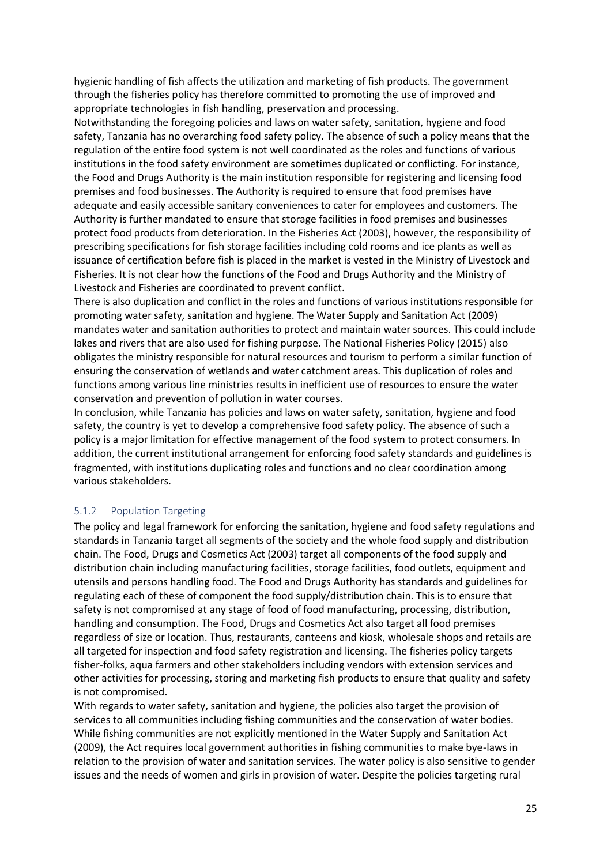hygienic handling of fish affects the utilization and marketing of fish products. The government through the fisheries policy has therefore committed to promoting the use of improved and appropriate technologies in fish handling, preservation and processing.

Notwithstanding the foregoing policies and laws on water safety, sanitation, hygiene and food safety, Tanzania has no overarching food safety policy. The absence of such a policy means that the regulation of the entire food system is not well coordinated as the roles and functions of various institutions in the food safety environment are sometimes duplicated or conflicting. For instance, the Food and Drugs Authority is the main institution responsible for registering and licensing food premises and food businesses. The Authority is required to ensure that food premises have adequate and easily accessible sanitary conveniences to cater for employees and customers. The Authority is further mandated to ensure that storage facilities in food premises and businesses protect food products from deterioration. In the Fisheries Act (2003), however, the responsibility of prescribing specifications for fish storage facilities including cold rooms and ice plants as well as issuance of certification before fish is placed in the market is vested in the Ministry of Livestock and Fisheries. It is not clear how the functions of the Food and Drugs Authority and the Ministry of Livestock and Fisheries are coordinated to prevent conflict.

There is also duplication and conflict in the roles and functions of various institutions responsible for promoting water safety, sanitation and hygiene. The Water Supply and Sanitation Act (2009) mandates water and sanitation authorities to protect and maintain water sources. This could include lakes and rivers that are also used for fishing purpose. The National Fisheries Policy (2015) also obligates the ministry responsible for natural resources and tourism to perform a similar function of ensuring the conservation of wetlands and water catchment areas. This duplication of roles and functions among various line ministries results in inefficient use of resources to ensure the water conservation and prevention of pollution in water courses.

In conclusion, while Tanzania has policies and laws on water safety, sanitation, hygiene and food safety, the country is yet to develop a comprehensive food safety policy. The absence of such a policy is a major limitation for effective management of the food system to protect consumers. In addition, the current institutional arrangement for enforcing food safety standards and guidelines is fragmented, with institutions duplicating roles and functions and no clear coordination among various stakeholders.

#### <span id="page-24-0"></span>5.1.2 Population Targeting

The policy and legal framework for enforcing the sanitation, hygiene and food safety regulations and standards in Tanzania target all segments of the society and the whole food supply and distribution chain. The Food, Drugs and Cosmetics Act (2003) target all components of the food supply and distribution chain including manufacturing facilities, storage facilities, food outlets, equipment and utensils and persons handling food. The Food and Drugs Authority has standards and guidelines for regulating each of these of component the food supply/distribution chain. This is to ensure that safety is not compromised at any stage of food of food manufacturing, processing, distribution, handling and consumption. The Food, Drugs and Cosmetics Act also target all food premises regardless of size or location. Thus, restaurants, canteens and kiosk, wholesale shops and retails are all targeted for inspection and food safety registration and licensing. The fisheries policy targets fisher-folks, aqua farmers and other stakeholders including vendors with extension services and other activities for processing, storing and marketing fish products to ensure that quality and safety is not compromised.

With regards to water safety, sanitation and hygiene, the policies also target the provision of services to all communities including fishing communities and the conservation of water bodies. While fishing communities are not explicitly mentioned in the Water Supply and Sanitation Act (2009), the Act requires local government authorities in fishing communities to make bye-laws in relation to the provision of water and sanitation services. The water policy is also sensitive to gender issues and the needs of women and girls in provision of water. Despite the policies targeting rural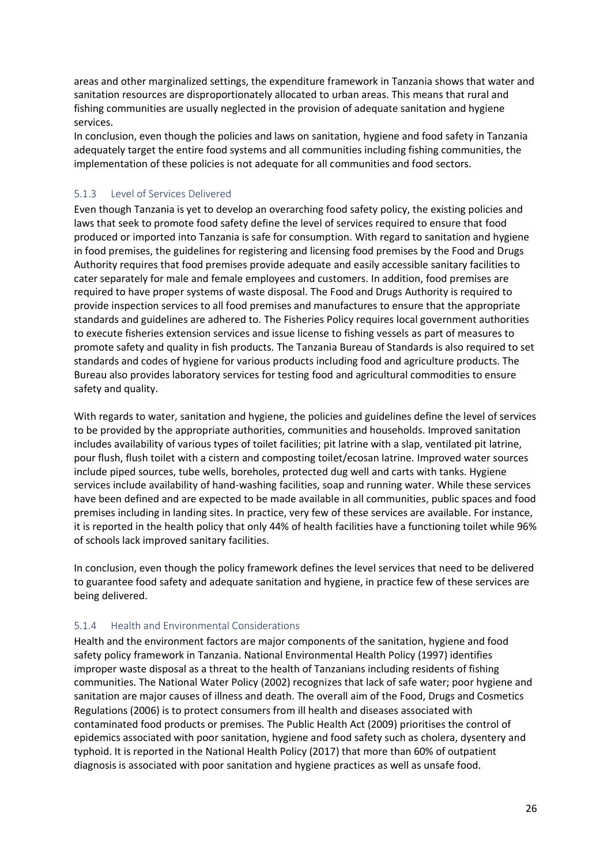areas and other marginalized settings, the expenditure framework in Tanzania shows that water and sanitation resources are disproportionately allocated to urban areas. This means that rural and fishing communities are usually neglected in the provision of adequate sanitation and hygiene services.

In conclusion, even though the policies and laws on sanitation, hygiene and food safety in Tanzania adequately target the entire food systems and all communities including fishing communities, the implementation of these policies is not adequate for all communities and food sectors.

#### <span id="page-25-0"></span>5.1.3 Level of Services Delivered

Even though Tanzania is yet to develop an overarching food safety policy, the existing policies and laws that seek to promote food safety define the level of services required to ensure that food produced or imported into Tanzania is safe for consumption. With regard to sanitation and hygiene in food premises, the guidelines for registering and licensing food premises by the Food and Drugs Authority requires that food premises provide adequate and easily accessible sanitary facilities to cater separately for male and female employees and customers. In addition, food premises are required to have proper systems of waste disposal. The Food and Drugs Authority is required to provide inspection services to all food premises and manufactures to ensure that the appropriate standards and guidelines are adhered to. The Fisheries Policy requires local government authorities to execute fisheries extension services and issue license to fishing vessels as part of measures to promote safety and quality in fish products. The Tanzania Bureau of Standards is also required to set standards and codes of hygiene for various products including food and agriculture products. The Bureau also provides laboratory services for testing food and agricultural commodities to ensure safety and quality.

With regards to water, sanitation and hygiene, the policies and guidelines define the level of services to be provided by the appropriate authorities, communities and households. Improved sanitation includes availability of various types of toilet facilities; pit latrine with a slap, ventilated pit latrine, pour flush, flush toilet with a cistern and composting toilet/ecosan latrine. Improved water sources include piped sources, tube wells, boreholes, protected dug well and carts with tanks. Hygiene services include availability of hand-washing facilities, soap and running water. While these services have been defined and are expected to be made available in all communities, public spaces and food premises including in landing sites. In practice, very few of these services are available. For instance, it is reported in the health policy that only 44% of health facilities have a functioning toilet while 96% of schools lack improved sanitary facilities.

In conclusion, even though the policy framework defines the level services that need to be delivered to guarantee food safety and adequate sanitation and hygiene, in practice few of these services are being delivered.

#### <span id="page-25-1"></span>5.1.4 Health and Environmental Considerations

Health and the environment factors are major components of the sanitation, hygiene and food safety policy framework in Tanzania. National Environmental Health Policy (1997) identifies improper waste disposal as a threat to the health of Tanzanians including residents of fishing communities. The National Water Policy (2002) recognizes that lack of safe water; poor hygiene and sanitation are major causes of illness and death. The overall aim of the Food, Drugs and Cosmetics Regulations (2006) is to protect consumers from ill health and diseases associated with contaminated food products or premises. The Public Health Act (2009) prioritises the control of epidemics associated with poor sanitation, hygiene and food safety such as cholera, dysentery and typhoid. It is reported in the National Health Policy (2017) that more than 60% of outpatient diagnosis is associated with poor sanitation and hygiene practices as well as unsafe food.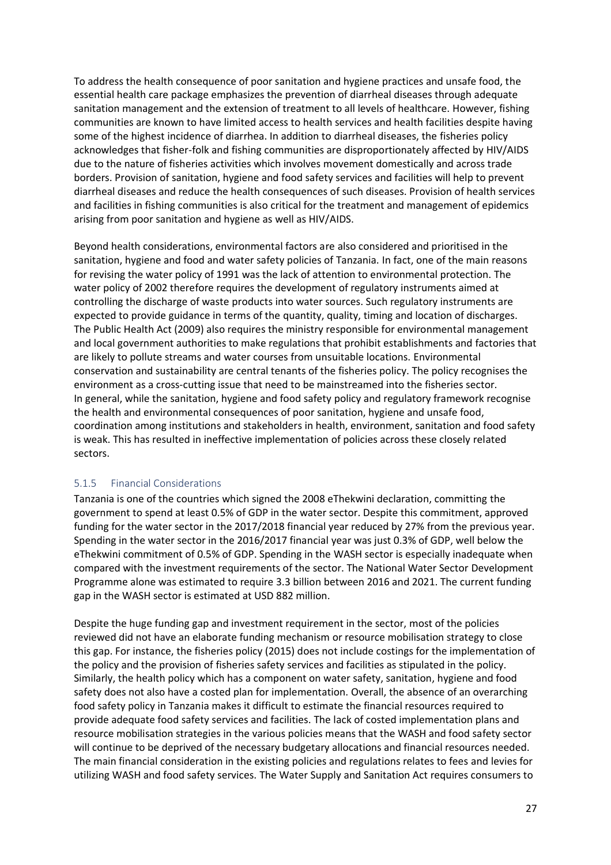To address the health consequence of poor sanitation and hygiene practices and unsafe food, the essential health care package emphasizes the prevention of diarrheal diseases through adequate sanitation management and the extension of treatment to all levels of healthcare. However, fishing communities are known to have limited access to health services and health facilities despite having some of the highest incidence of diarrhea. In addition to diarrheal diseases, the fisheries policy acknowledges that fisher-folk and fishing communities are disproportionately affected by HIV/AIDS due to the nature of fisheries activities which involves movement domestically and across trade borders. Provision of sanitation, hygiene and food safety services and facilities will help to prevent diarrheal diseases and reduce the health consequences of such diseases. Provision of health services and facilities in fishing communities is also critical for the treatment and management of epidemics arising from poor sanitation and hygiene as well as HIV/AIDS.

Beyond health considerations, environmental factors are also considered and prioritised in the sanitation, hygiene and food and water safety policies of Tanzania. In fact, one of the main reasons for revising the water policy of 1991 was the lack of attention to environmental protection. The water policy of 2002 therefore requires the development of regulatory instruments aimed at controlling the discharge of waste products into water sources. Such regulatory instruments are expected to provide guidance in terms of the quantity, quality, timing and location of discharges. The Public Health Act (2009) also requires the ministry responsible for environmental management and local government authorities to make regulations that prohibit establishments and factories that are likely to pollute streams and water courses from unsuitable locations. Environmental conservation and sustainability are central tenants of the fisheries policy. The policy recognises the environment as a cross-cutting issue that need to be mainstreamed into the fisheries sector. In general, while the sanitation, hygiene and food safety policy and regulatory framework recognise the health and environmental consequences of poor sanitation, hygiene and unsafe food, coordination among institutions and stakeholders in health, environment, sanitation and food safety is weak. This has resulted in ineffective implementation of policies across these closely related sectors.

#### <span id="page-26-0"></span>5.1.5 Financial Considerations

Tanzania is one of the countries which signed the 2008 eThekwini declaration, committing the government to spend at least 0.5% of GDP in the water sector. Despite this commitment, approved funding for the water sector in the 2017/2018 financial year reduced by 27% from the previous year. Spending in the water sector in the 2016/2017 financial year was just 0.3% of GDP, well below the eThekwini commitment of 0.5% of GDP. Spending in the WASH sector is especially inadequate when compared with the investment requirements of the sector. The National Water Sector Development Programme alone was estimated to require 3.3 billion between 2016 and 2021. The current funding gap in the WASH sector is estimated at USD 882 million.

Despite the huge funding gap and investment requirement in the sector, most of the policies reviewed did not have an elaborate funding mechanism or resource mobilisation strategy to close this gap. For instance, the fisheries policy (2015) does not include costings for the implementation of the policy and the provision of fisheries safety services and facilities as stipulated in the policy. Similarly, the health policy which has a component on water safety, sanitation, hygiene and food safety does not also have a costed plan for implementation. Overall, the absence of an overarching food safety policy in Tanzania makes it difficult to estimate the financial resources required to provide adequate food safety services and facilities. The lack of costed implementation plans and resource mobilisation strategies in the various policies means that the WASH and food safety sector will continue to be deprived of the necessary budgetary allocations and financial resources needed. The main financial consideration in the existing policies and regulations relates to fees and levies for utilizing WASH and food safety services. The Water Supply and Sanitation Act requires consumers to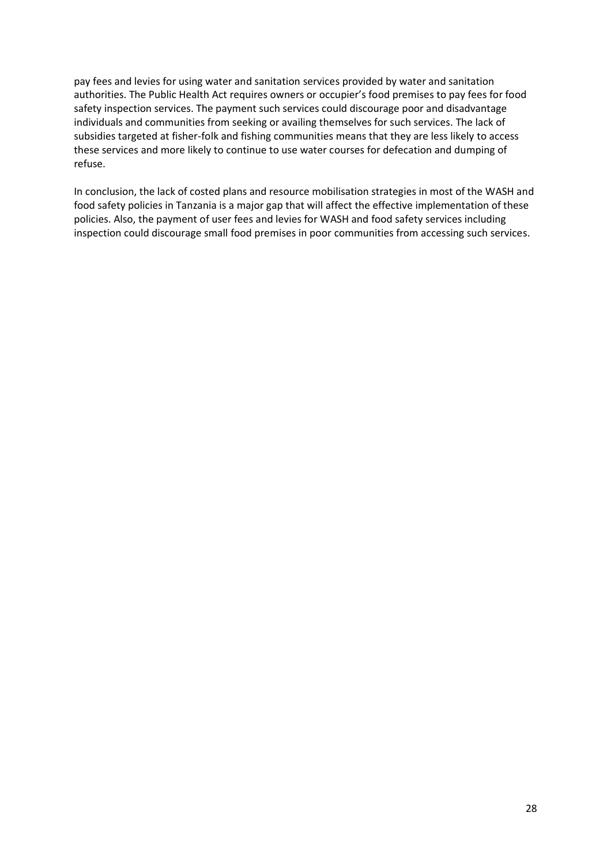pay fees and levies for using water and sanitation services provided by water and sanitation authorities. The Public Health Act requires owners or occupier's food premises to pay fees for food safety inspection services. The payment such services could discourage poor and disadvantage individuals and communities from seeking or availing themselves for such services. The lack of subsidies targeted at fisher-folk and fishing communities means that they are less likely to access these services and more likely to continue to use water courses for defecation and dumping of refuse.

In conclusion, the lack of costed plans and resource mobilisation strategies in most of the WASH and food safety policies in Tanzania is a major gap that will affect the effective implementation of these policies. Also, the payment of user fees and levies for WASH and food safety services including inspection could discourage small food premises in poor communities from accessing such services.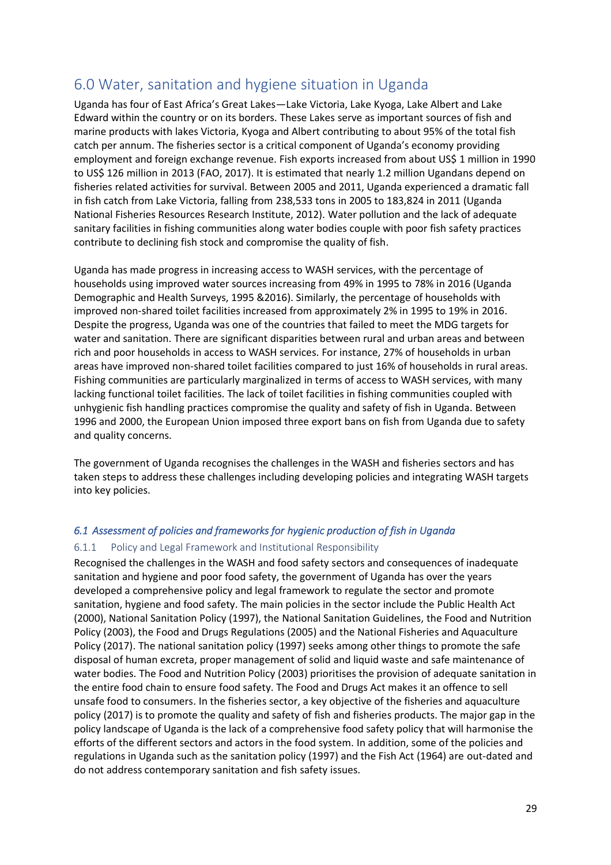# <span id="page-28-0"></span>6.0 Water, sanitation and hygiene situation in Uganda

Uganda has four of East Africa's Great Lakes—Lake Victoria, Lake Kyoga, Lake Albert and Lake Edward within the country or on its borders. These Lakes serve as important sources of fish and marine products with lakes Victoria, Kyoga and Albert contributing to about 95% of the total fish catch per annum. The fisheries sector is a critical component of Uganda's economy providing employment and foreign exchange revenue. Fish exports increased from about US\$ 1 million in 1990 to US\$ 126 million in 2013 (FAO, 2017). It is estimated that nearly 1.2 million Ugandans depend on fisheries related activities for survival. Between 2005 and 2011, Uganda experienced a dramatic fall in fish catch from Lake Victoria, falling from 238,533 tons in 2005 to 183,824 in 2011 (Uganda National Fisheries Resources Research Institute, 2012). Water pollution and the lack of adequate sanitary facilities in fishing communities along water bodies couple with poor fish safety practices contribute to declining fish stock and compromise the quality of fish.

Uganda has made progress in increasing access to WASH services, with the percentage of households using improved water sources increasing from 49% in 1995 to 78% in 2016 (Uganda Demographic and Health Surveys, 1995 &2016). Similarly, the percentage of households with improved non-shared toilet facilities increased from approximately 2% in 1995 to 19% in 2016. Despite the progress, Uganda was one of the countries that failed to meet the MDG targets for water and sanitation. There are significant disparities between rural and urban areas and between rich and poor households in access to WASH services. For instance, 27% of households in urban areas have improved non-shared toilet facilities compared to just 16% of households in rural areas. Fishing communities are particularly marginalized in terms of access to WASH services, with many lacking functional toilet facilities. The lack of toilet facilities in fishing communities coupled with unhygienic fish handling practices compromise the quality and safety of fish in Uganda. Between 1996 and 2000, the European Union imposed three export bans on fish from Uganda due to safety and quality concerns.

The government of Uganda recognises the challenges in the WASH and fisheries sectors and has taken steps to address these challenges including developing policies and integrating WASH targets into key policies.

#### <span id="page-28-1"></span>*6.1 Assessment of policies and frameworks for hygienic production of fish in Uganda*

#### <span id="page-28-2"></span>6.1.1 Policy and Legal Framework and Institutional Responsibility

Recognised the challenges in the WASH and food safety sectors and consequences of inadequate sanitation and hygiene and poor food safety, the government of Uganda has over the years developed a comprehensive policy and legal framework to regulate the sector and promote sanitation, hygiene and food safety. The main policies in the sector include the Public Health Act (2000), National Sanitation Policy (1997), the National Sanitation Guidelines, the Food and Nutrition Policy (2003), the Food and Drugs Regulations (2005) and the National Fisheries and Aquaculture Policy (2017). The national sanitation policy (1997) seeks among other things to promote the safe disposal of human excreta, proper management of solid and liquid waste and safe maintenance of water bodies. The Food and Nutrition Policy (2003) prioritises the provision of adequate sanitation in the entire food chain to ensure food safety. The Food and Drugs Act makes it an offence to sell unsafe food to consumers. In the fisheries sector, a key objective of the fisheries and aquaculture policy (2017) is to promote the quality and safety of fish and fisheries products. The major gap in the policy landscape of Uganda is the lack of a comprehensive food safety policy that will harmonise the efforts of the different sectors and actors in the food system. In addition, some of the policies and regulations in Uganda such as the sanitation policy (1997) and the Fish Act (1964) are out-dated and do not address contemporary sanitation and fish safety issues.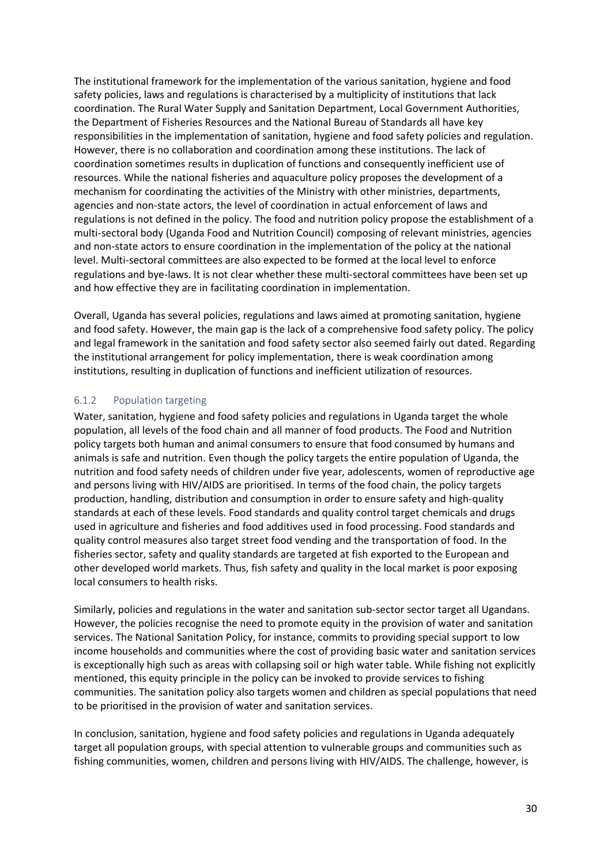The institutional framework for the implementation of the various sanitation, hygiene and food safety policies, laws and regulations is characterised by a multiplicity of institutions that lack coordination. The Rural Water Supply and Sanitation Department, Local Government Authorities, the Department of Fisheries Resources and the National Bureau of Standards all have key responsibilities in the implementation of sanitation, hygiene and food safety policies and regulation. However, there is no collaboration and coordination among these institutions. The lack of coordination sometimes results in duplication of functions and consequently inefficient use of resources. While the national fisheries and aquaculture policy proposes the development of a mechanism for coordinating the activities of the Ministry with other ministries, departments, agencies and non-state actors, the level of coordination in actual enforcement of laws and regulations is not defined in the policy. The food and nutrition policy propose the establishment of a multi-sectoral body (Uganda Food and Nutrition Council) composing of relevant ministries, agencies and non-state actors to ensure coordination in the implementation of the policy at the national level. Multi-sectoral committees are also expected to be formed at the local level to enforce regulations and bye-laws. It is not clear whether these multi-sectoral committees have been set up and how effective they are in facilitating coordination in implementation.

Overall, Uganda has several policies, regulations and laws aimed at promoting sanitation, hygiene and food safety. However, the main gap is the lack of a comprehensive food safety policy. The policy and legal framework in the sanitation and food safety sector also seemed fairly out dated. Regarding the institutional arrangement for policy implementation, there is weak coordination among institutions, resulting in duplication of functions and inefficient utilization of resources.

#### <span id="page-29-0"></span>6.1.2 Population targeting

Water, sanitation, hygiene and food safety policies and regulations in Uganda target the whole population, all levels of the food chain and all manner of food products. The Food and Nutrition policy targets both human and animal consumers to ensure that food consumed by humans and animals is safe and nutrition. Even though the policy targets the entire population of Uganda, the nutrition and food safety needs of children under five year, adolescents, women of reproductive age and persons living with HIV/AIDS are prioritised. In terms of the food chain, the policy targets production, handling, distribution and consumption in order to ensure safety and high-quality standards at each of these levels. Food standards and quality control target chemicals and drugs used in agriculture and fisheries and food additives used in food processing. Food standards and quality control measures also target street food vending and the transportation of food. In the fisheries sector, safety and quality standards are targeted at fish exported to the European and other developed world markets. Thus, fish safety and quality in the local market is poor exposing local consumers to health risks.

Similarly, policies and regulations in the water and sanitation sub-sector sector target all Ugandans. However, the policies recognise the need to promote equity in the provision of water and sanitation services. The National Sanitation Policy, for instance, commits to providing special support to low income households and communities where the cost of providing basic water and sanitation services is exceptionally high such as areas with collapsing soil or high water table. While fishing not explicitly mentioned, this equity principle in the policy can be invoked to provide services to fishing communities. The sanitation policy also targets women and children as special populations that need to be prioritised in the provision of water and sanitation services.

In conclusion, sanitation, hygiene and food safety policies and regulations in Uganda adequately target all population groups, with special attention to vulnerable groups and communities such as fishing communities, women, children and persons living with HIV/AIDS. The challenge, however, is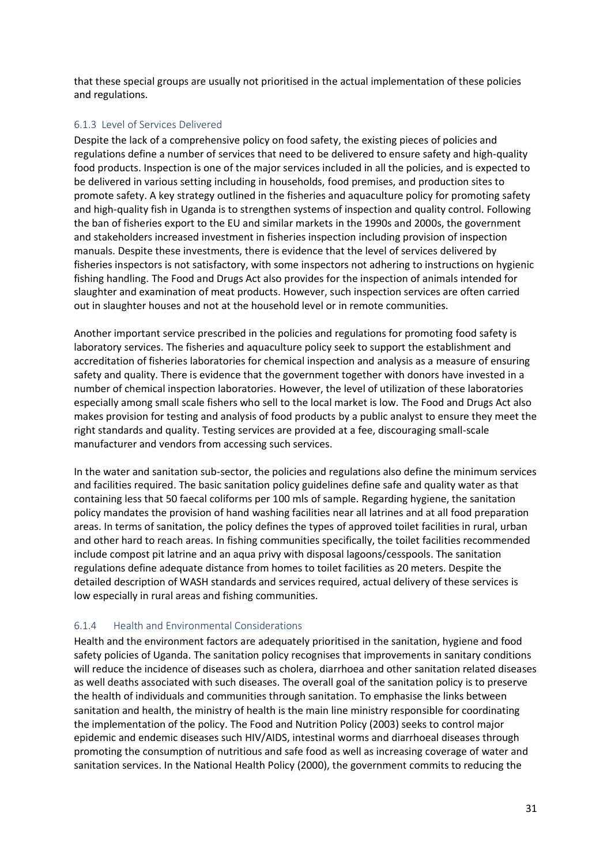that these special groups are usually not prioritised in the actual implementation of these policies and regulations.

#### 6.1.3 Level of Services Delivered

Despite the lack of a comprehensive policy on food safety, the existing pieces of policies and regulations define a number of services that need to be delivered to ensure safety and high-quality food products. Inspection is one of the major services included in all the policies, and is expected to be delivered in various setting including in households, food premises, and production sites to promote safety. A key strategy outlined in the fisheries and aquaculture policy for promoting safety and high-quality fish in Uganda is to strengthen systems of inspection and quality control. Following the ban of fisheries export to the EU and similar markets in the 1990s and 2000s, the government and stakeholders increased investment in fisheries inspection including provision of inspection manuals. Despite these investments, there is evidence that the level of services delivered by fisheries inspectors is not satisfactory, with some inspectors not adhering to instructions on hygienic fishing handling. The Food and Drugs Act also provides for the inspection of animals intended for slaughter and examination of meat products. However, such inspection services are often carried out in slaughter houses and not at the household level or in remote communities.

Another important service prescribed in the policies and regulations for promoting food safety is laboratory services. The fisheries and aquaculture policy seek to support the establishment and accreditation of fisheries laboratories for chemical inspection and analysis as a measure of ensuring safety and quality. There is evidence that the government together with donors have invested in a number of chemical inspection laboratories. However, the level of utilization of these laboratories especially among small scale fishers who sell to the local market is low. The Food and Drugs Act also makes provision for testing and analysis of food products by a public analyst to ensure they meet the right standards and quality. Testing services are provided at a fee, discouraging small-scale manufacturer and vendors from accessing such services.

In the water and sanitation sub-sector, the policies and regulations also define the minimum services and facilities required. The basic sanitation policy guidelines define safe and quality water as that containing less that 50 faecal coliforms per 100 mls of sample. Regarding hygiene, the sanitation policy mandates the provision of hand washing facilities near all latrines and at all food preparation areas. In terms of sanitation, the policy defines the types of approved toilet facilities in rural, urban and other hard to reach areas. In fishing communities specifically, the toilet facilities recommended include compost pit latrine and an aqua privy with disposal lagoons/cesspools. The sanitation regulations define adequate distance from homes to toilet facilities as 20 meters. Despite the detailed description of WASH standards and services required, actual delivery of these services is low especially in rural areas and fishing communities.

#### <span id="page-30-0"></span>6.1.4 Health and Environmental Considerations

Health and the environment factors are adequately prioritised in the sanitation, hygiene and food safety policies of Uganda. The sanitation policy recognises that improvements in sanitary conditions will reduce the incidence of diseases such as cholera, diarrhoea and other sanitation related diseases as well deaths associated with such diseases. The overall goal of the sanitation policy is to preserve the health of individuals and communities through sanitation. To emphasise the links between sanitation and health, the ministry of health is the main line ministry responsible for coordinating the implementation of the policy. The Food and Nutrition Policy (2003) seeks to control major epidemic and endemic diseases such HIV/AIDS, intestinal worms and diarrhoeal diseases through promoting the consumption of nutritious and safe food as well as increasing coverage of water and sanitation services. In the National Health Policy (2000), the government commits to reducing the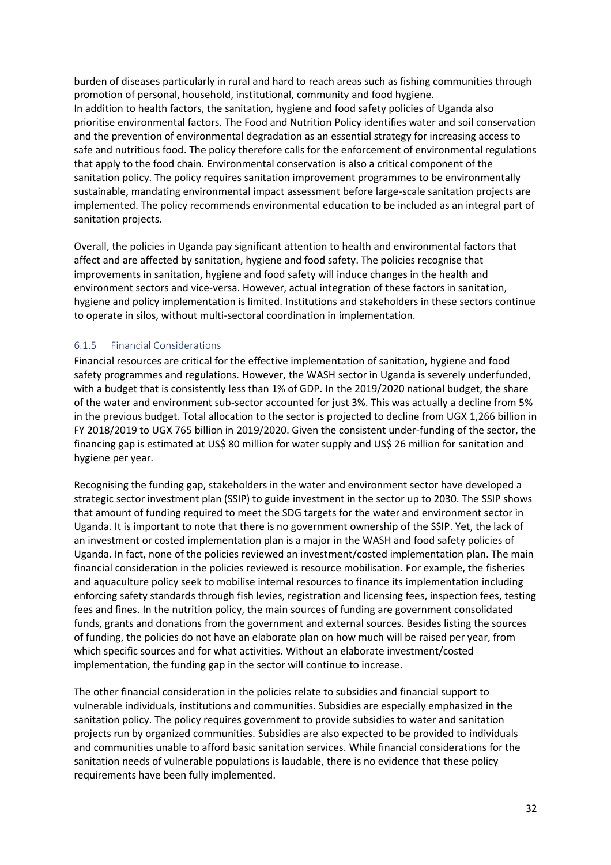burden of diseases particularly in rural and hard to reach areas such as fishing communities through promotion of personal, household, institutional, community and food hygiene. In addition to health factors, the sanitation, hygiene and food safety policies of Uganda also prioritise environmental factors. The Food and Nutrition Policy identifies water and soil conservation and the prevention of environmental degradation as an essential strategy for increasing access to safe and nutritious food. The policy therefore calls for the enforcement of environmental regulations that apply to the food chain. Environmental conservation is also a critical component of the sanitation policy. The policy requires sanitation improvement programmes to be environmentally sustainable, mandating environmental impact assessment before large-scale sanitation projects are implemented. The policy recommends environmental education to be included as an integral part of sanitation projects.

Overall, the policies in Uganda pay significant attention to health and environmental factors that affect and are affected by sanitation, hygiene and food safety. The policies recognise that improvements in sanitation, hygiene and food safety will induce changes in the health and environment sectors and vice-versa. However, actual integration of these factors in sanitation, hygiene and policy implementation is limited. Institutions and stakeholders in these sectors continue to operate in silos, without multi-sectoral coordination in implementation.

#### <span id="page-31-0"></span>6.1.5 Financial Considerations

Financial resources are critical for the effective implementation of sanitation, hygiene and food safety programmes and regulations. However, the WASH sector in Uganda is severely underfunded, with a budget that is consistently less than 1% of GDP. In the 2019/2020 national budget, the share of the water and environment sub-sector accounted for just 3%. This was actually a decline from 5% in the previous budget. Total allocation to the sector is projected to decline from UGX 1,266 billion in FY 2018/2019 to UGX 765 billion in 2019/2020. Given the consistent under-funding of the sector, the financing gap is estimated at US\$ 80 million for water supply and US\$ 26 million for sanitation and hygiene per year.

Recognising the funding gap, stakeholders in the water and environment sector have developed a strategic sector investment plan (SSIP) to guide investment in the sector up to 2030. The SSIP shows that amount of funding required to meet the SDG targets for the water and environment sector in Uganda. It is important to note that there is no government ownership of the SSIP. Yet, the lack of an investment or costed implementation plan is a major in the WASH and food safety policies of Uganda. In fact, none of the policies reviewed an investment/costed implementation plan. The main financial consideration in the policies reviewed is resource mobilisation. For example, the fisheries and aquaculture policy seek to mobilise internal resources to finance its implementation including enforcing safety standards through fish levies, registration and licensing fees, inspection fees, testing fees and fines. In the nutrition policy, the main sources of funding are government consolidated funds, grants and donations from the government and external sources. Besides listing the sources of funding, the policies do not have an elaborate plan on how much will be raised per year, from which specific sources and for what activities. Without an elaborate investment/costed implementation, the funding gap in the sector will continue to increase.

The other financial consideration in the policies relate to subsidies and financial support to vulnerable individuals, institutions and communities. Subsidies are especially emphasized in the sanitation policy. The policy requires government to provide subsidies to water and sanitation projects run by organized communities. Subsidies are also expected to be provided to individuals and communities unable to afford basic sanitation services. While financial considerations for the sanitation needs of vulnerable populations is laudable, there is no evidence that these policy requirements have been fully implemented.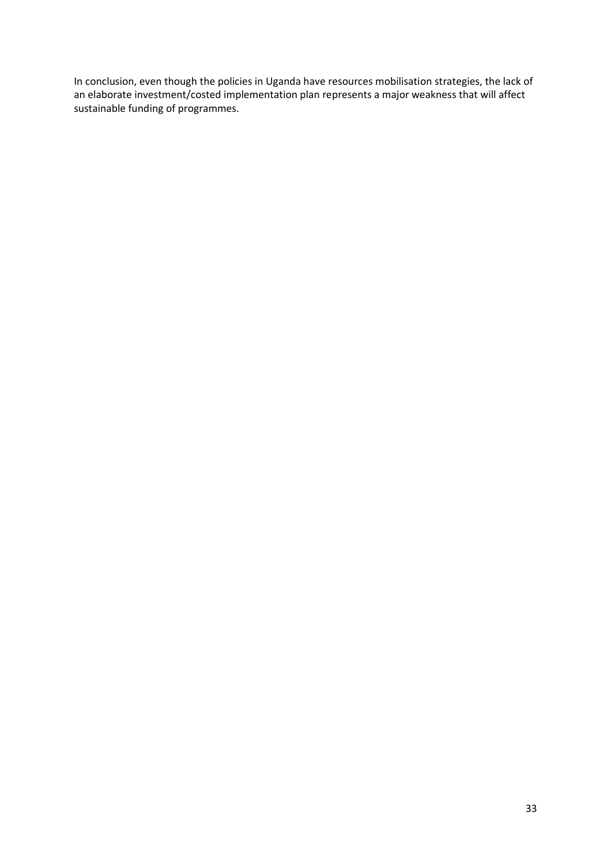In conclusion, even though the policies in Uganda have resources mobilisation strategies, the lack of an elaborate investment/costed implementation plan represents a major weakness that will affect sustainable funding of programmes.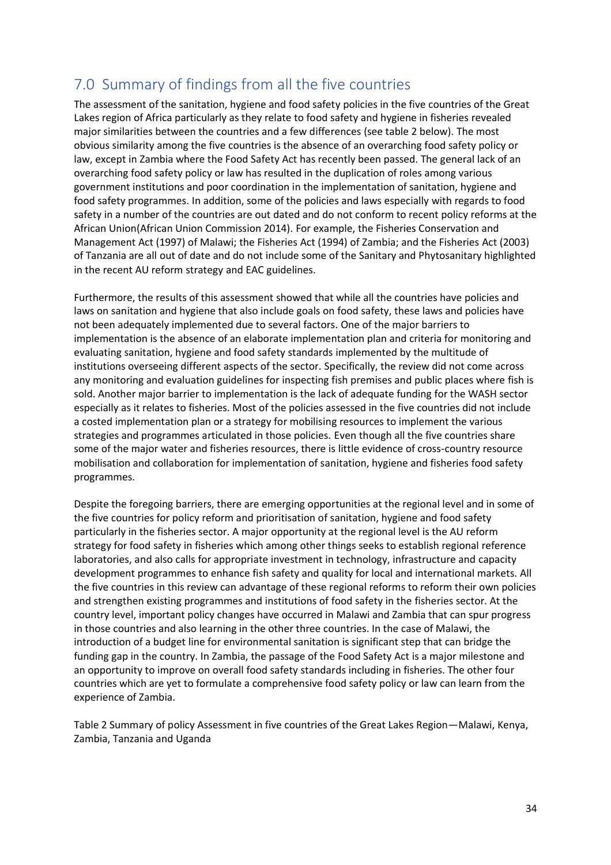# <span id="page-33-0"></span>7.0 Summary of findings from all the five countries

The assessment of the sanitation, hygiene and food safety policies in the five countries of the Great Lakes region of Africa particularly as they relate to food safety and hygiene in fisheries revealed major similarities between the countries and a few differences (see table 2 below). The most obvious similarity among the five countries is the absence of an overarching food safety policy or law, except in Zambia where the Food Safety Act has recently been passed. The general lack of an overarching food safety policy or law has resulted in the duplication of roles among various government institutions and poor coordination in the implementation of sanitation, hygiene and food safety programmes. In addition, some of the policies and laws especially with regards to food safety in a number of the countries are out dated and do not conform to recent policy reforms at the African Union(African Union Commission 2014). For example, the Fisheries Conservation and Management Act (1997) of Malawi; the Fisheries Act (1994) of Zambia; and the Fisheries Act (2003) of Tanzania are all out of date and do not include some of the Sanitary and Phytosanitary highlighted in the recent AU reform strategy and EAC guidelines.

Furthermore, the results of this assessment showed that while all the countries have policies and laws on sanitation and hygiene that also include goals on food safety, these laws and policies have not been adequately implemented due to several factors. One of the major barriers to implementation is the absence of an elaborate implementation plan and criteria for monitoring and evaluating sanitation, hygiene and food safety standards implemented by the multitude of institutions overseeing different aspects of the sector. Specifically, the review did not come across any monitoring and evaluation guidelines for inspecting fish premises and public places where fish is sold. Another major barrier to implementation is the lack of adequate funding for the WASH sector especially as it relates to fisheries. Most of the policies assessed in the five countries did not include a costed implementation plan or a strategy for mobilising resources to implement the various strategies and programmes articulated in those policies. Even though all the five countries share some of the major water and fisheries resources, there is little evidence of cross-country resource mobilisation and collaboration for implementation of sanitation, hygiene and fisheries food safety programmes.

Despite the foregoing barriers, there are emerging opportunities at the regional level and in some of the five countries for policy reform and prioritisation of sanitation, hygiene and food safety particularly in the fisheries sector. A major opportunity at the regional level is the AU reform strategy for food safety in fisheries which among other things seeks to establish regional reference laboratories, and also calls for appropriate investment in technology, infrastructure and capacity development programmes to enhance fish safety and quality for local and international markets. All the five countries in this review can advantage of these regional reforms to reform their own policies and strengthen existing programmes and institutions of food safety in the fisheries sector. At the country level, important policy changes have occurred in Malawi and Zambia that can spur progress in those countries and also learning in the other three countries. In the case of Malawi, the introduction of a budget line for environmental sanitation is significant step that can bridge the funding gap in the country. In Zambia, the passage of the Food Safety Act is a major milestone and an opportunity to improve on overall food safety standards including in fisheries. The other four countries which are yet to formulate a comprehensive food safety policy or law can learn from the experience of Zambia.

Table 2 Summary of policy Assessment in five countries of the Great Lakes Region—Malawi, Kenya, Zambia, Tanzania and Uganda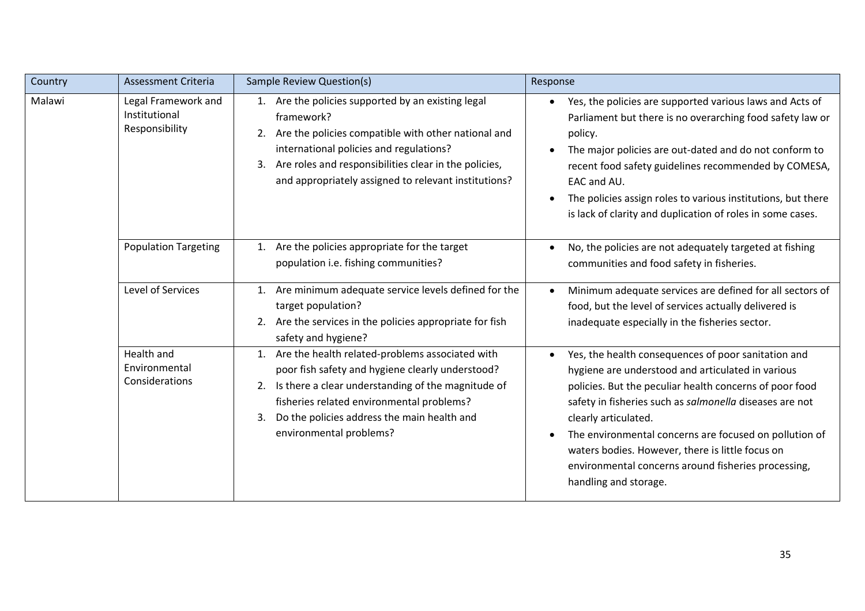| Country | Assessment Criteria                                    | Sample Review Question(s)                                                                                                                                                                                                                                                                       | Response                                                                                                                                                                                                                                                                                                                                                                                                                                                                       |
|---------|--------------------------------------------------------|-------------------------------------------------------------------------------------------------------------------------------------------------------------------------------------------------------------------------------------------------------------------------------------------------|--------------------------------------------------------------------------------------------------------------------------------------------------------------------------------------------------------------------------------------------------------------------------------------------------------------------------------------------------------------------------------------------------------------------------------------------------------------------------------|
| Malawi  | Legal Framework and<br>Institutional<br>Responsibility | 1. Are the policies supported by an existing legal<br>framework?<br>2. Are the policies compatible with other national and<br>international policies and regulations?<br>3. Are roles and responsibilities clear in the policies,<br>and appropriately assigned to relevant institutions?       | Yes, the policies are supported various laws and Acts of<br>$\bullet$<br>Parliament but there is no overarching food safety law or<br>policy.<br>The major policies are out-dated and do not conform to<br>recent food safety guidelines recommended by COMESA,<br>EAC and AU.<br>The policies assign roles to various institutions, but there<br>is lack of clarity and duplication of roles in some cases.                                                                   |
|         | <b>Population Targeting</b>                            | Are the policies appropriate for the target<br>1.<br>population i.e. fishing communities?                                                                                                                                                                                                       | No, the policies are not adequately targeted at fishing<br>$\bullet$<br>communities and food safety in fisheries.                                                                                                                                                                                                                                                                                                                                                              |
|         | Level of Services                                      | 1. Are minimum adequate service levels defined for the<br>target population?<br>2. Are the services in the policies appropriate for fish<br>safety and hygiene?                                                                                                                                 | Minimum adequate services are defined for all sectors of<br>food, but the level of services actually delivered is<br>inadequate especially in the fisheries sector.                                                                                                                                                                                                                                                                                                            |
|         | Health and<br>Environmental<br>Considerations          | 1. Are the health related-problems associated with<br>poor fish safety and hygiene clearly understood?<br>Is there a clear understanding of the magnitude of<br>2.<br>fisheries related environmental problems?<br>Do the policies address the main health and<br>3.<br>environmental problems? | Yes, the health consequences of poor sanitation and<br>$\bullet$<br>hygiene are understood and articulated in various<br>policies. But the peculiar health concerns of poor food<br>safety in fisheries such as salmonella diseases are not<br>clearly articulated.<br>The environmental concerns are focused on pollution of<br>$\bullet$<br>waters bodies. However, there is little focus on<br>environmental concerns around fisheries processing,<br>handling and storage. |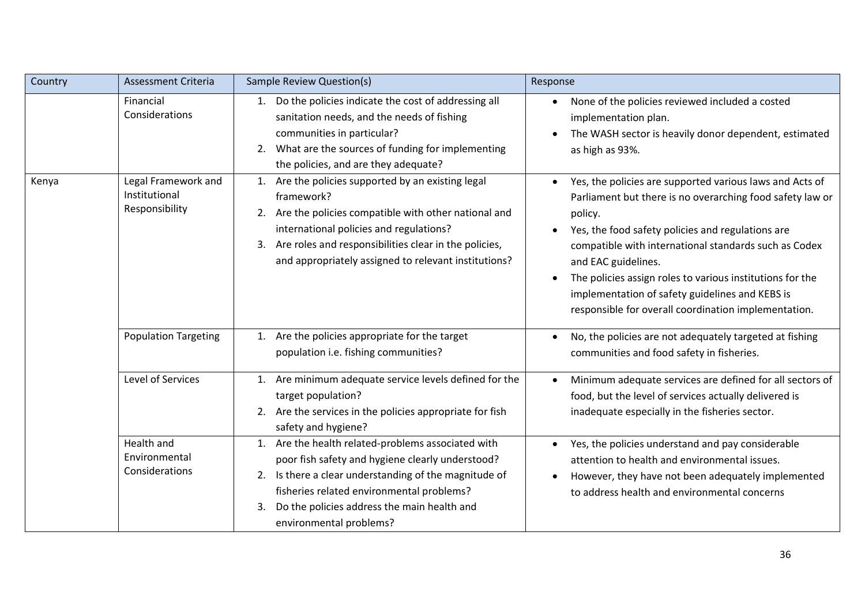| Country | <b>Assessment Criteria</b>                             | Sample Review Question(s)                                                                                                                                                                                                                                                                       | Response                                                                                                                                                                                                                                                                                                                                                                                                                                                                             |
|---------|--------------------------------------------------------|-------------------------------------------------------------------------------------------------------------------------------------------------------------------------------------------------------------------------------------------------------------------------------------------------|--------------------------------------------------------------------------------------------------------------------------------------------------------------------------------------------------------------------------------------------------------------------------------------------------------------------------------------------------------------------------------------------------------------------------------------------------------------------------------------|
|         | Financial<br>Considerations                            | Do the policies indicate the cost of addressing all<br>1.<br>sanitation needs, and the needs of fishing<br>communities in particular?<br>2. What are the sources of funding for implementing<br>the policies, and are they adequate?                                                            | None of the policies reviewed included a costed<br>$\bullet$<br>implementation plan.<br>The WASH sector is heavily donor dependent, estimated<br>$\bullet$<br>as high as 93%.                                                                                                                                                                                                                                                                                                        |
| Kenya   | Legal Framework and<br>Institutional<br>Responsibility | 1. Are the policies supported by an existing legal<br>framework?<br>Are the policies compatible with other national and<br>2.<br>international policies and regulations?<br>Are roles and responsibilities clear in the policies,<br>3.<br>and appropriately assigned to relevant institutions? | Yes, the policies are supported various laws and Acts of<br>$\bullet$<br>Parliament but there is no overarching food safety law or<br>policy.<br>Yes, the food safety policies and regulations are<br>$\bullet$<br>compatible with international standards such as Codex<br>and EAC guidelines.<br>The policies assign roles to various institutions for the<br>$\bullet$<br>implementation of safety guidelines and KEBS is<br>responsible for overall coordination implementation. |
|         | <b>Population Targeting</b>                            | Are the policies appropriate for the target<br>1.<br>population i.e. fishing communities?                                                                                                                                                                                                       | No, the policies are not adequately targeted at fishing<br>$\bullet$<br>communities and food safety in fisheries.                                                                                                                                                                                                                                                                                                                                                                    |
|         | Level of Services                                      | Are minimum adequate service levels defined for the<br>1.<br>target population?<br>Are the services in the policies appropriate for fish<br>safety and hygiene?                                                                                                                                 | Minimum adequate services are defined for all sectors of<br>$\bullet$<br>food, but the level of services actually delivered is<br>inadequate especially in the fisheries sector.                                                                                                                                                                                                                                                                                                     |
|         | Health and<br>Environmental<br>Considerations          | 1. Are the health related-problems associated with<br>poor fish safety and hygiene clearly understood?<br>Is there a clear understanding of the magnitude of<br>2.<br>fisheries related environmental problems?<br>Do the policies address the main health and<br>3.<br>environmental problems? | Yes, the policies understand and pay considerable<br>$\bullet$<br>attention to health and environmental issues.<br>However, they have not been adequately implemented<br>$\bullet$<br>to address health and environmental concerns                                                                                                                                                                                                                                                   |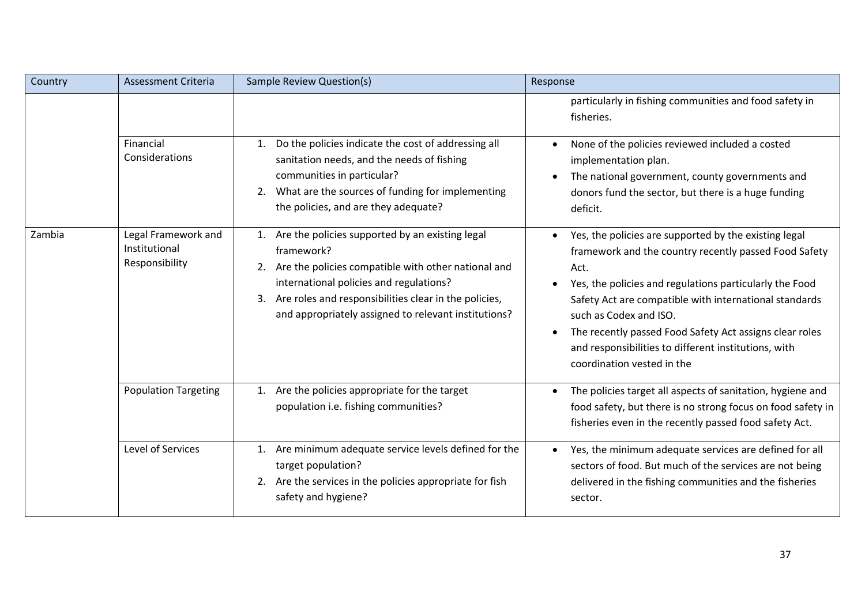| Country | Assessment Criteria                                    | Sample Review Question(s)                                                                                                                                                                                                                                                                 | Response                                                                                                                                                                                                                                                                                                                                                                                                                                         |
|---------|--------------------------------------------------------|-------------------------------------------------------------------------------------------------------------------------------------------------------------------------------------------------------------------------------------------------------------------------------------------|--------------------------------------------------------------------------------------------------------------------------------------------------------------------------------------------------------------------------------------------------------------------------------------------------------------------------------------------------------------------------------------------------------------------------------------------------|
|         |                                                        |                                                                                                                                                                                                                                                                                           | particularly in fishing communities and food safety in<br>fisheries.                                                                                                                                                                                                                                                                                                                                                                             |
|         | Financial<br>Considerations                            | Do the policies indicate the cost of addressing all<br>1.<br>sanitation needs, and the needs of fishing<br>communities in particular?<br>2. What are the sources of funding for implementing<br>the policies, and are they adequate?                                                      | None of the policies reviewed included a costed<br>implementation plan.<br>The national government, county governments and<br>$\bullet$<br>donors fund the sector, but there is a huge funding<br>deficit.                                                                                                                                                                                                                                       |
| Zambia  | Legal Framework and<br>Institutional<br>Responsibility | 1. Are the policies supported by an existing legal<br>framework?<br>2. Are the policies compatible with other national and<br>international policies and regulations?<br>3. Are roles and responsibilities clear in the policies,<br>and appropriately assigned to relevant institutions? | Yes, the policies are supported by the existing legal<br>$\bullet$<br>framework and the country recently passed Food Safety<br>Act.<br>Yes, the policies and regulations particularly the Food<br>Safety Act are compatible with international standards<br>such as Codex and ISO.<br>The recently passed Food Safety Act assigns clear roles<br>$\bullet$<br>and responsibilities to different institutions, with<br>coordination vested in the |
|         | <b>Population Targeting</b>                            | Are the policies appropriate for the target<br>1.<br>population i.e. fishing communities?                                                                                                                                                                                                 | The policies target all aspects of sanitation, hygiene and<br>$\bullet$<br>food safety, but there is no strong focus on food safety in<br>fisheries even in the recently passed food safety Act.                                                                                                                                                                                                                                                 |
|         | Level of Services                                      | 1. Are minimum adequate service levels defined for the<br>target population?<br>2. Are the services in the policies appropriate for fish<br>safety and hygiene?                                                                                                                           | Yes, the minimum adequate services are defined for all<br>$\bullet$<br>sectors of food. But much of the services are not being<br>delivered in the fishing communities and the fisheries<br>sector.                                                                                                                                                                                                                                              |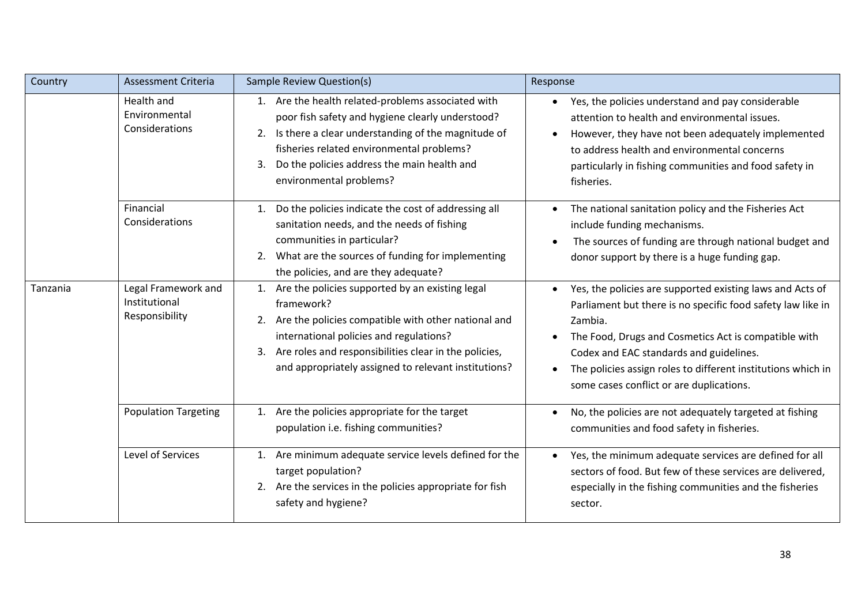| Country  | Assessment Criteria                                    | Sample Review Question(s)                                                                                                                                                                                                                                                                    | Response                                                                                                                                                                                                                                                                                                                                                        |
|----------|--------------------------------------------------------|----------------------------------------------------------------------------------------------------------------------------------------------------------------------------------------------------------------------------------------------------------------------------------------------|-----------------------------------------------------------------------------------------------------------------------------------------------------------------------------------------------------------------------------------------------------------------------------------------------------------------------------------------------------------------|
|          | Health and<br>Environmental<br>Considerations          | 1. Are the health related-problems associated with<br>poor fish safety and hygiene clearly understood?<br>2. Is there a clear understanding of the magnitude of<br>fisheries related environmental problems?<br>Do the policies address the main health and<br>3.<br>environmental problems? | Yes, the policies understand and pay considerable<br>$\bullet$<br>attention to health and environmental issues.<br>However, they have not been adequately implemented<br>$\bullet$<br>to address health and environmental concerns<br>particularly in fishing communities and food safety in<br>fisheries.                                                      |
|          | Financial<br>Considerations                            | Do the policies indicate the cost of addressing all<br>1.<br>sanitation needs, and the needs of fishing<br>communities in particular?<br>2. What are the sources of funding for implementing<br>the policies, and are they adequate?                                                         | The national sanitation policy and the Fisheries Act<br>$\bullet$<br>include funding mechanisms.<br>The sources of funding are through national budget and<br>donor support by there is a huge funding gap.                                                                                                                                                     |
| Tanzania | Legal Framework and<br>Institutional<br>Responsibility | 1. Are the policies supported by an existing legal<br>framework?<br>2. Are the policies compatible with other national and<br>international policies and regulations?<br>Are roles and responsibilities clear in the policies,<br>3.<br>and appropriately assigned to relevant institutions? | Yes, the policies are supported existing laws and Acts of<br>Parliament but there is no specific food safety law like in<br>Zambia.<br>The Food, Drugs and Cosmetics Act is compatible with<br>Codex and EAC standards and guidelines.<br>The policies assign roles to different institutions which in<br>$\bullet$<br>some cases conflict or are duplications. |
|          | <b>Population Targeting</b>                            | Are the policies appropriate for the target<br>1.<br>population i.e. fishing communities?                                                                                                                                                                                                    | No, the policies are not adequately targeted at fishing<br>$\bullet$<br>communities and food safety in fisheries.                                                                                                                                                                                                                                               |
|          | Level of Services                                      | Are minimum adequate service levels defined for the<br>1.<br>target population?<br>2. Are the services in the policies appropriate for fish<br>safety and hygiene?                                                                                                                           | Yes, the minimum adequate services are defined for all<br>sectors of food. But few of these services are delivered,<br>especially in the fishing communities and the fisheries<br>sector.                                                                                                                                                                       |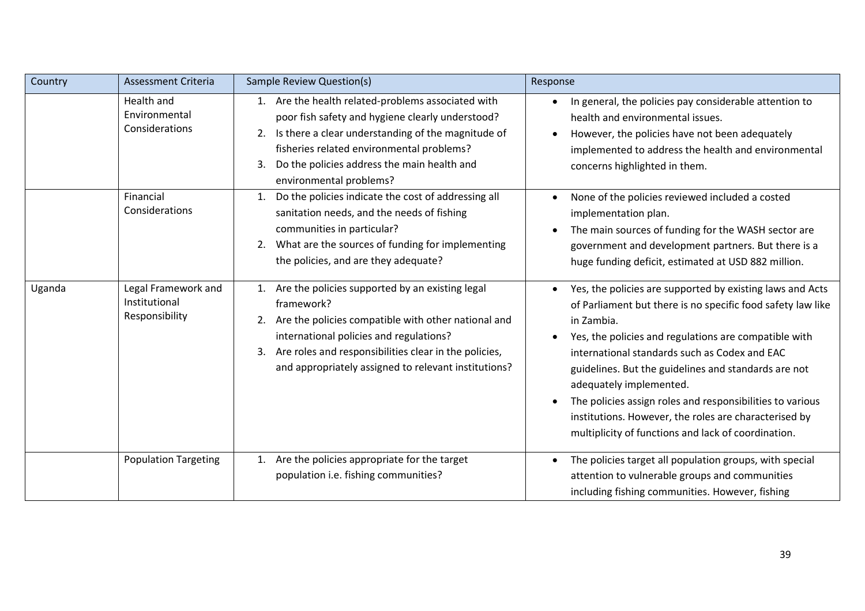| Country | Assessment Criteria                                    | Sample Review Question(s)                                                                                                                                                                                                                                                                       | Response                                                                                                                                                                                                                                                                                                                                                                                                                                                                                                                                   |
|---------|--------------------------------------------------------|-------------------------------------------------------------------------------------------------------------------------------------------------------------------------------------------------------------------------------------------------------------------------------------------------|--------------------------------------------------------------------------------------------------------------------------------------------------------------------------------------------------------------------------------------------------------------------------------------------------------------------------------------------------------------------------------------------------------------------------------------------------------------------------------------------------------------------------------------------|
|         | Health and<br>Environmental<br>Considerations          | 1. Are the health related-problems associated with<br>poor fish safety and hygiene clearly understood?<br>Is there a clear understanding of the magnitude of<br>2.<br>fisheries related environmental problems?<br>Do the policies address the main health and<br>3.<br>environmental problems? | In general, the policies pay considerable attention to<br>٠<br>health and environmental issues.<br>However, the policies have not been adequately<br>$\bullet$<br>implemented to address the health and environmental<br>concerns highlighted in them.                                                                                                                                                                                                                                                                                     |
|         | Financial<br>Considerations                            | Do the policies indicate the cost of addressing all<br>1.<br>sanitation needs, and the needs of fishing<br>communities in particular?<br>What are the sources of funding for implementing<br>2.<br>the policies, and are they adequate?                                                         | None of the policies reviewed included a costed<br>$\bullet$<br>implementation plan.<br>The main sources of funding for the WASH sector are<br>$\bullet$<br>government and development partners. But there is a<br>huge funding deficit, estimated at USD 882 million.                                                                                                                                                                                                                                                                     |
| Uganda  | Legal Framework and<br>Institutional<br>Responsibility | Are the policies supported by an existing legal<br>framework?<br>Are the policies compatible with other national and<br>2.<br>international policies and regulations?<br>Are roles and responsibilities clear in the policies,<br>3.<br>and appropriately assigned to relevant institutions?    | Yes, the policies are supported by existing laws and Acts<br>$\bullet$<br>of Parliament but there is no specific food safety law like<br>in Zambia.<br>Yes, the policies and regulations are compatible with<br>international standards such as Codex and EAC<br>guidelines. But the guidelines and standards are not<br>adequately implemented.<br>The policies assign roles and responsibilities to various<br>$\bullet$<br>institutions. However, the roles are characterised by<br>multiplicity of functions and lack of coordination. |
|         | <b>Population Targeting</b>                            | Are the policies appropriate for the target<br>1.<br>population i.e. fishing communities?                                                                                                                                                                                                       | The policies target all population groups, with special<br>attention to vulnerable groups and communities<br>including fishing communities. However, fishing                                                                                                                                                                                                                                                                                                                                                                               |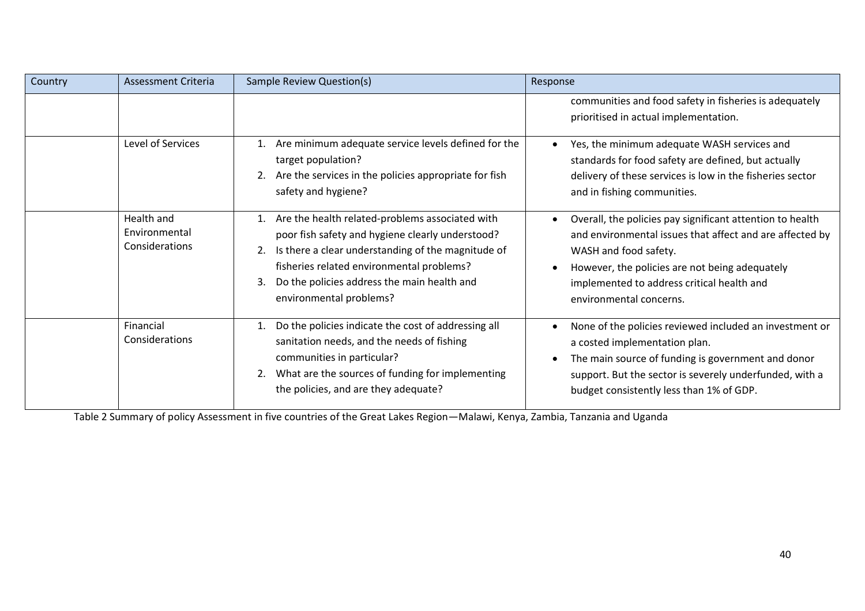| Country | Assessment Criteria                           | Sample Review Question(s)                                                                                                                                                                                                                                                                          | Response                                                                                                                                                                                                                                                                               |
|---------|-----------------------------------------------|----------------------------------------------------------------------------------------------------------------------------------------------------------------------------------------------------------------------------------------------------------------------------------------------------|----------------------------------------------------------------------------------------------------------------------------------------------------------------------------------------------------------------------------------------------------------------------------------------|
|         |                                               |                                                                                                                                                                                                                                                                                                    | communities and food safety in fisheries is adequately<br>prioritised in actual implementation.                                                                                                                                                                                        |
|         | Level of Services                             | 1. Are minimum adequate service levels defined for the<br>target population?<br>Are the services in the policies appropriate for fish<br>safety and hygiene?                                                                                                                                       | Yes, the minimum adequate WASH services and<br>standards for food safety are defined, but actually<br>delivery of these services is low in the fisheries sector<br>and in fishing communities.                                                                                         |
|         | Health and<br>Environmental<br>Considerations | Are the health related-problems associated with<br>1.<br>poor fish safety and hygiene clearly understood?<br>Is there a clear understanding of the magnitude of<br>2.<br>fisheries related environmental problems?<br>Do the policies address the main health and<br>3.<br>environmental problems? | Overall, the policies pay significant attention to health<br>$\bullet$<br>and environmental issues that affect and are affected by<br>WASH and food safety.<br>However, the policies are not being adequately<br>implemented to address critical health and<br>environmental concerns. |
|         | Financial<br>Considerations                   | Do the policies indicate the cost of addressing all<br>1.<br>sanitation needs, and the needs of fishing<br>communities in particular?<br>What are the sources of funding for implementing<br>the policies, and are they adequate?                                                                  | None of the policies reviewed included an investment or<br>$\bullet$<br>a costed implementation plan.<br>The main source of funding is government and donor<br>$\bullet$<br>support. But the sector is severely underfunded, with a<br>budget consistently less than 1% of GDP.        |

Table 2 Summary of policy Assessment in five countries of the Great Lakes Region—Malawi, Kenya, Zambia, Tanzania and Uganda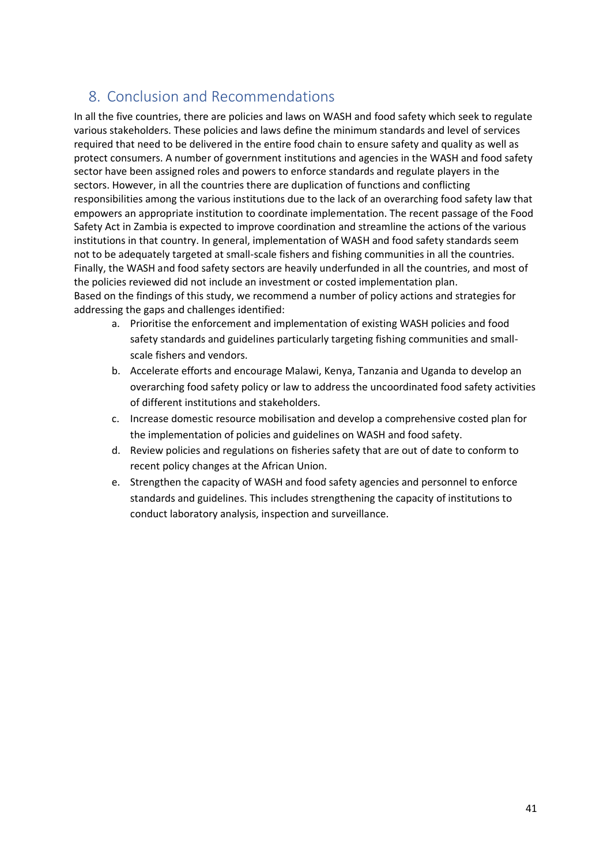# <span id="page-40-0"></span>8. Conclusion and Recommendations

In all the five countries, there are policies and laws on WASH and food safety which seek to regulate various stakeholders. These policies and laws define the minimum standards and level of services required that need to be delivered in the entire food chain to ensure safety and quality as well as protect consumers. A number of government institutions and agencies in the WASH and food safety sector have been assigned roles and powers to enforce standards and regulate players in the sectors. However, in all the countries there are duplication of functions and conflicting responsibilities among the various institutions due to the lack of an overarching food safety law that empowers an appropriate institution to coordinate implementation. The recent passage of the Food Safety Act in Zambia is expected to improve coordination and streamline the actions of the various institutions in that country. In general, implementation of WASH and food safety standards seem not to be adequately targeted at small-scale fishers and fishing communities in all the countries. Finally, the WASH and food safety sectors are heavily underfunded in all the countries, and most of the policies reviewed did not include an investment or costed implementation plan. Based on the findings of this study, we recommend a number of policy actions and strategies for addressing the gaps and challenges identified:

- a. Prioritise the enforcement and implementation of existing WASH policies and food safety standards and guidelines particularly targeting fishing communities and smallscale fishers and vendors.
- b. Accelerate efforts and encourage Malawi, Kenya, Tanzania and Uganda to develop an overarching food safety policy or law to address the uncoordinated food safety activities of different institutions and stakeholders.
- c. Increase domestic resource mobilisation and develop a comprehensive costed plan for the implementation of policies and guidelines on WASH and food safety.
- d. Review policies and regulations on fisheries safety that are out of date to conform to recent policy changes at the African Union.
- e. Strengthen the capacity of WASH and food safety agencies and personnel to enforce standards and guidelines. This includes strengthening the capacity of institutions to conduct laboratory analysis, inspection and surveillance.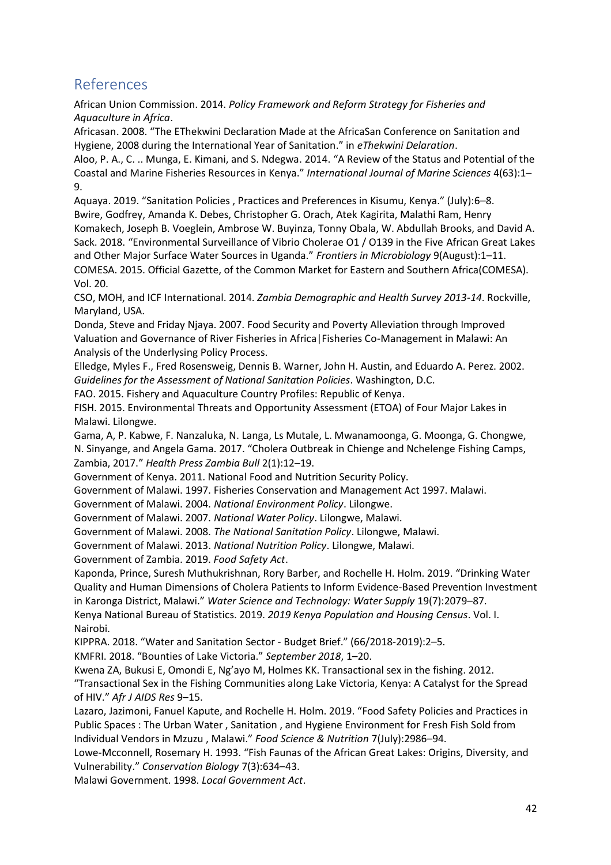# <span id="page-41-0"></span>References

African Union Commission. 2014. *Policy Framework and Reform Strategy for Fisheries and Aquaculture in Africa*.

Africasan. 2008. "The EThekwini Declaration Made at the AfricaSan Conference on Sanitation and Hygiene, 2008 during the International Year of Sanitation." in *eThekwini Delaration*.

Aloo, P. A., C. .. Munga, E. Kimani, and S. Ndegwa. 2014. "A Review of the Status and Potential of the Coastal and Marine Fisheries Resources in Kenya." *International Journal of Marine Sciences* 4(63):1– 9.

Aquaya. 2019. "Sanitation Policies , Practices and Preferences in Kisumu, Kenya." (July):6–8. Bwire, Godfrey, Amanda K. Debes, Christopher G. Orach, Atek Kagirita, Malathi Ram, Henry Komakech, Joseph B. Voeglein, Ambrose W. Buyinza, Tonny Obala, W. Abdullah Brooks, and David A. Sack. 2018. "Environmental Surveillance of Vibrio Cholerae O1 / O139 in the Five African Great Lakes and Other Major Surface Water Sources in Uganda." *Frontiers in Microbiology* 9(August):1–11. COMESA. 2015. Official Gazette, of the Common Market for Eastern and Southern Africa(COMESA). Vol. 20.

CSO, MOH, and ICF International. 2014. *Zambia Demographic and Health Survey 2013-14*. Rockville, Maryland, USA.

Donda, Steve and Friday Njaya. 2007. Food Security and Poverty Alleviation through Improved Valuation and Governance of River Fisheries in Africa|Fisheries Co-Management in Malawi: An Analysis of the Underlysing Policy Process.

Elledge, Myles F., Fred Rosensweig, Dennis B. Warner, John H. Austin, and Eduardo A. Perez. 2002. *Guidelines for the Assessment of National Sanitation Policies*. Washington, D.C.

FAO. 2015. Fishery and Aquaculture Country Profiles: Republic of Kenya.

FISH. 2015. Environmental Threats and Opportunity Assessment (ETOA) of Four Major Lakes in Malawi. Lilongwe.

Gama, A, P. Kabwe, F. Nanzaluka, N. Langa, Ls Mutale, L. Mwanamoonga, G. Moonga, G. Chongwe, N. Sinyange, and Angela Gama. 2017. "Cholera Outbreak in Chienge and Nchelenge Fishing Camps, Zambia, 2017." *Health Press Zambia Bull* 2(1):12–19.

Government of Kenya. 2011. National Food and Nutrition Security Policy.

Government of Malawi. 1997. Fisheries Conservation and Management Act 1997. Malawi.

Government of Malawi. 2004. *National Environment Policy*. Lilongwe.

Government of Malawi. 2007. *National Water Policy*. Lilongwe, Malawi.

Government of Malawi. 2008. *The National Sanitation Policy*. Lilongwe, Malawi.

Government of Malawi. 2013. *National Nutrition Policy*. Lilongwe, Malawi.

Government of Zambia. 2019. *Food Safety Act*.

Kaponda, Prince, Suresh Muthukrishnan, Rory Barber, and Rochelle H. Holm. 2019. "Drinking Water Quality and Human Dimensions of Cholera Patients to Inform Evidence-Based Prevention Investment in Karonga District, Malawi." *Water Science and Technology: Water Supply* 19(7):2079–87.

Kenya National Bureau of Statistics. 2019. *2019 Kenya Population and Housing Census*. Vol. I. Nairobi.

KIPPRA. 2018. "Water and Sanitation Sector - Budget Brief." (66/2018-2019):2–5.

KMFRI. 2018. "Bounties of Lake Victoria." *September 2018*, 1–20.

Kwena ZA, Bukusi E, Omondi E, Ng'ayo M, Holmes KK. Transactional sex in the fishing. 2012.

"Transactional Sex in the Fishing Communities along Lake Victoria, Kenya: A Catalyst for the Spread of HIV." *Afr J AIDS Res* 9–15.

Lazaro, Jazimoni, Fanuel Kapute, and Rochelle H. Holm. 2019. "Food Safety Policies and Practices in Public Spaces : The Urban Water , Sanitation , and Hygiene Environment for Fresh Fish Sold from Individual Vendors in Mzuzu , Malawi." *Food Science & Nutrition* 7(July):2986–94.

Lowe-Mcconnell, Rosemary H. 1993. "Fish Faunas of the African Great Lakes: Origins, Diversity, and Vulnerability." *Conservation Biology* 7(3):634–43.

Malawi Government. 1998. *Local Government Act*.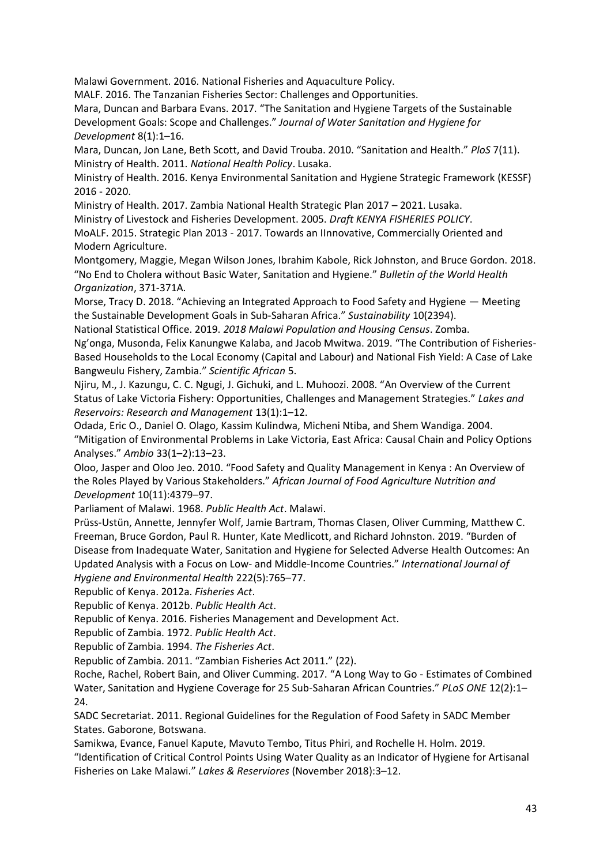Malawi Government. 2016. National Fisheries and Aquaculture Policy.

MALF. 2016. The Tanzanian Fisheries Sector: Challenges and Opportunities.

Mara, Duncan and Barbara Evans. 2017. "The Sanitation and Hygiene Targets of the Sustainable Development Goals: Scope and Challenges." *Journal of Water Sanitation and Hygiene for Development* 8(1):1–16.

Mara, Duncan, Jon Lane, Beth Scott, and David Trouba. 2010. "Sanitation and Health." *PloS* 7(11). Ministry of Health. 2011. *National Health Policy*. Lusaka.

Ministry of Health. 2016. Kenya Environmental Sanitation and Hygiene Strategic Framework (KESSF) 2016 - 2020.

Ministry of Health. 2017. Zambia National Health Strategic Plan 2017 – 2021. Lusaka.

Ministry of Livestock and Fisheries Development. 2005. *Draft KENYA FISHERIES POLICY*.

MoALF. 2015. Strategic Plan 2013 - 2017. Towards an IInnovative, Commercially Oriented and Modern Agriculture.

Montgomery, Maggie, Megan Wilson Jones, Ibrahim Kabole, Rick Johnston, and Bruce Gordon. 2018. "No End to Cholera without Basic Water, Sanitation and Hygiene." *Bulletin of the World Health Organization*, 371-371A.

Morse, Tracy D. 2018. "Achieving an Integrated Approach to Food Safety and Hygiene — Meeting the Sustainable Development Goals in Sub-Saharan Africa." *Sustainability* 10(2394).

National Statistical Office. 2019. *2018 Malawi Population and Housing Census*. Zomba.

Ng'onga, Musonda, Felix Kanungwe Kalaba, and Jacob Mwitwa. 2019. "The Contribution of Fisheries-Based Households to the Local Economy (Capital and Labour) and National Fish Yield: A Case of Lake Bangweulu Fishery, Zambia." *Scientific African* 5.

Njiru, M., J. Kazungu, C. C. Ngugi, J. Gichuki, and L. Muhoozi. 2008. "An Overview of the Current Status of Lake Victoria Fishery: Opportunities, Challenges and Management Strategies." *Lakes and Reservoirs: Research and Management* 13(1):1–12.

Odada, Eric O., Daniel O. Olago, Kassim Kulindwa, Micheni Ntiba, and Shem Wandiga. 2004. "Mitigation of Environmental Problems in Lake Victoria, East Africa: Causal Chain and Policy Options Analyses." *Ambio* 33(1–2):13–23.

Oloo, Jasper and Oloo Jeo. 2010. "Food Safety and Quality Management in Kenya : An Overview of the Roles Played by Various Stakeholders." *African Journal of Food Agriculture Nutrition and Development* 10(11):4379–97.

Parliament of Malawi. 1968. *Public Health Act*. Malawi.

Prüss-Ustün, Annette, Jennyfer Wolf, Jamie Bartram, Thomas Clasen, Oliver Cumming, Matthew C. Freeman, Bruce Gordon, Paul R. Hunter, Kate Medlicott, and Richard Johnston. 2019. "Burden of Disease from Inadequate Water, Sanitation and Hygiene for Selected Adverse Health Outcomes: An Updated Analysis with a Focus on Low- and Middle-Income Countries." *International Journal of Hygiene and Environmental Health* 222(5):765–77.

Republic of Kenya. 2012a. *Fisheries Act*.

Republic of Kenya. 2012b. *Public Health Act*.

Republic of Kenya. 2016. Fisheries Management and Development Act.

Republic of Zambia. 1972. *Public Health Act*.

Republic of Zambia. 1994. *The Fisheries Act*.

Republic of Zambia. 2011. "Zambian Fisheries Act 2011." (22).

Roche, Rachel, Robert Bain, and Oliver Cumming. 2017. "A Long Way to Go - Estimates of Combined Water, Sanitation and Hygiene Coverage for 25 Sub-Saharan African Countries." *PLoS ONE* 12(2):1– 24.

SADC Secretariat. 2011. Regional Guidelines for the Regulation of Food Safety in SADC Member States. Gaborone, Botswana.

Samikwa, Evance, Fanuel Kapute, Mavuto Tembo, Titus Phiri, and Rochelle H. Holm. 2019.

"Identification of Critical Control Points Using Water Quality as an Indicator of Hygiene for Artisanal Fisheries on Lake Malawi." *Lakes & Reserviores* (November 2018):3–12.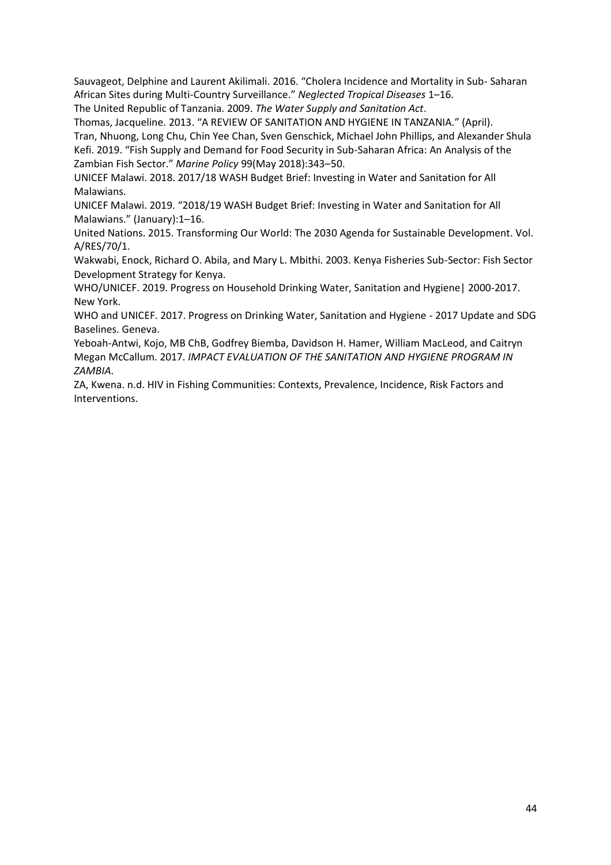Sauvageot, Delphine and Laurent Akilimali. 2016. "Cholera Incidence and Mortality in Sub- Saharan African Sites during Multi-Country Surveillance." *Neglected Tropical Diseases* 1–16.

The United Republic of Tanzania. 2009. *The Water Supply and Sanitation Act*.

Thomas, Jacqueline. 2013. "A REVIEW OF SANITATION AND HYGIENE IN TANZANIA." (April). Tran, Nhuong, Long Chu, Chin Yee Chan, Sven Genschick, Michael John Phillips, and Alexander Shula Kefi. 2019. "Fish Supply and Demand for Food Security in Sub-Saharan Africa: An Analysis of the Zambian Fish Sector." *Marine Policy* 99(May 2018):343–50.

UNICEF Malawi. 2018. 2017/18 WASH Budget Brief: Investing in Water and Sanitation for All Malawians.

UNICEF Malawi. 2019. "2018/19 WASH Budget Brief: Investing in Water and Sanitation for All Malawians." (January):1–16.

United Nations. 2015. Transforming Our World: The 2030 Agenda for Sustainable Development. Vol. A/RES/70/1.

Wakwabi, Enock, Richard O. Abila, and Mary L. Mbithi. 2003. Kenya Fisheries Sub-Sector: Fish Sector Development Strategy for Kenya.

WHO/UNICEF. 2019. Progress on Household Drinking Water, Sanitation and Hygiene| 2000-2017. New York.

WHO and UNICEF. 2017. Progress on Drinking Water, Sanitation and Hygiene - 2017 Update and SDG Baselines. Geneva.

Yeboah-Antwi, Kojo, MB ChB, Godfrey Biemba, Davidson H. Hamer, William MacLeod, and Caitryn Megan McCallum. 2017. *IMPACT EVALUATION OF THE SANITATION AND HYGIENE PROGRAM IN ZAMBIA*.

ZA, Kwena. n.d. HIV in Fishing Communities: Contexts, Prevalence, Incidence, Risk Factors and Interventions.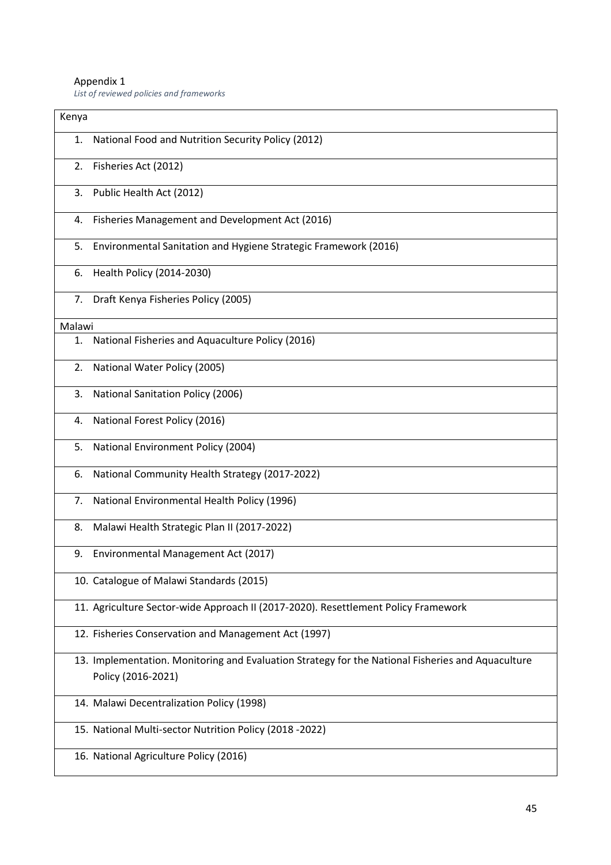#### Appendix 1

*List of reviewed policies and frameworks*

| Kenya  |                                                                                                   |
|--------|---------------------------------------------------------------------------------------------------|
| 1.     | National Food and Nutrition Security Policy (2012)                                                |
| 2.     | Fisheries Act (2012)                                                                              |
| 3.     | Public Health Act (2012)                                                                          |
| 4.     | Fisheries Management and Development Act (2016)                                                   |
| 5.     | Environmental Sanitation and Hygiene Strategic Framework (2016)                                   |
| 6.     | Health Policy (2014-2030)                                                                         |
|        | 7. Draft Kenya Fisheries Policy (2005)                                                            |
| Malawi |                                                                                                   |
| 1.     | National Fisheries and Aquaculture Policy (2016)                                                  |
| 2.     | National Water Policy (2005)                                                                      |
| 3.     | National Sanitation Policy (2006)                                                                 |
| 4.     | National Forest Policy (2016)                                                                     |
| 5.     | National Environment Policy (2004)                                                                |
| 6.     | National Community Health Strategy (2017-2022)                                                    |
| 7.     | National Environmental Health Policy (1996)                                                       |
| 8.     | Malawi Health Strategic Plan II (2017-2022)                                                       |
| 9.     | Environmental Management Act (2017)                                                               |
|        | 10. Catalogue of Malawi Standards (2015)                                                          |
|        | 11. Agriculture Sector-wide Approach II (2017-2020). Resettlement Policy Framework                |
|        | 12. Fisheries Conservation and Management Act (1997)                                              |
|        | 13. Implementation. Monitoring and Evaluation Strategy for the National Fisheries and Aquaculture |
|        | Policy (2016-2021)                                                                                |
|        | 14. Malawi Decentralization Policy (1998)                                                         |
|        | 15. National Multi-sector Nutrition Policy (2018 -2022)                                           |
|        | 16. National Agriculture Policy (2016)                                                            |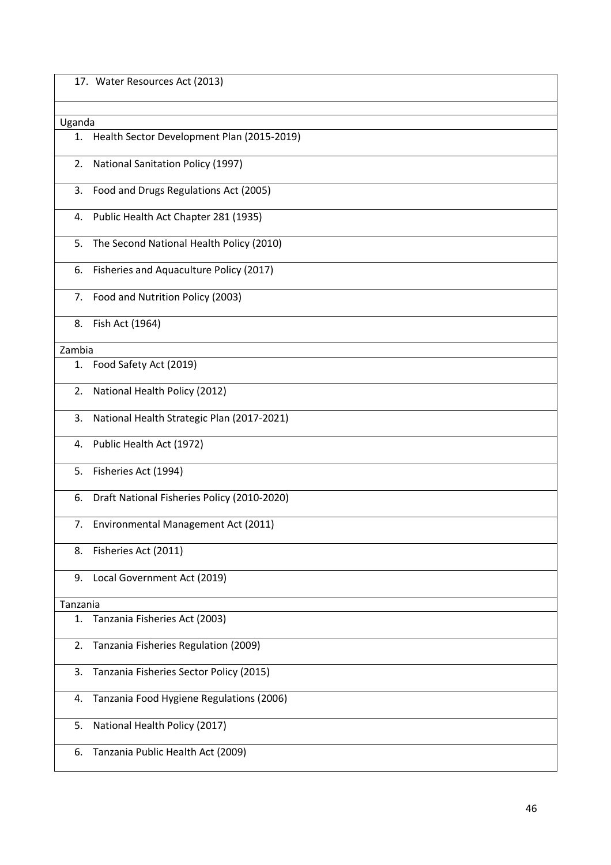|          | 17. Water Resources Act (2013)              |
|----------|---------------------------------------------|
|          |                                             |
| Uganda   |                                             |
| 1.       | Health Sector Development Plan (2015-2019)  |
| 2.       | <b>National Sanitation Policy (1997)</b>    |
| 3.       | Food and Drugs Regulations Act (2005)       |
|          | 4. Public Health Act Chapter 281 (1935)     |
| 5.       | The Second National Health Policy (2010)    |
| 6.       | Fisheries and Aquaculture Policy (2017)     |
| 7.       | Food and Nutrition Policy (2003)            |
| 8.       | Fish Act (1964)                             |
| Zambia   |                                             |
| 1.       | Food Safety Act (2019)                      |
| 2.       | National Health Policy (2012)               |
| 3.       | National Health Strategic Plan (2017-2021)  |
| 4.       | Public Health Act (1972)                    |
| 5.       | Fisheries Act (1994)                        |
| 6.       | Draft National Fisheries Policy (2010-2020) |
|          | 7. Environmental Management Act (2011)      |
| 8.       | Fisheries Act (2011)                        |
| 9.       | Local Government Act (2019)                 |
| Tanzania |                                             |
| 1.       | Tanzania Fisheries Act (2003)               |
| 2.       | Tanzania Fisheries Regulation (2009)        |
| 3.       | Tanzania Fisheries Sector Policy (2015)     |
| 4.       | Tanzania Food Hygiene Regulations (2006)    |
| 5.       | National Health Policy (2017)               |
| 6.       | Tanzania Public Health Act (2009)           |